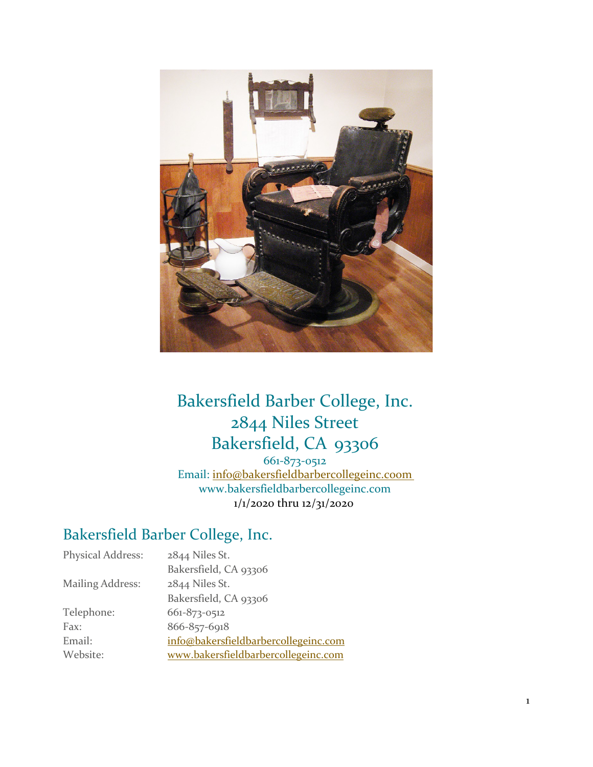

# Bakersfield Barber College, Inc. 2844 Niles Street Bakersfield, CA 93306

661-873-0512 Email: [info@bakersfieldbarbercollegeinc.coom](mailto:info@bakersfieldbarbercollegeinc.coom) [www.bakersfieldbarbercollegeinc.com](http://www.bakersfieldbarbercollegeinc.com/) 1/1/2020 thru 12/31/2020

# Bakersfield Barber College, Inc.

| <b>Physical Address:</b> | 2844 Niles St.                       |
|--------------------------|--------------------------------------|
|                          | Bakersfield, CA 93306                |
| <b>Mailing Address:</b>  | 2844 Niles St.                       |
|                          | Bakersfield, CA 93306                |
| Telephone:               | 661-873-0512                         |
| Fax:                     | 866-857-6918                         |
| Email:                   | info@bakersfieldbarbercollegeinc.com |
| Website:                 | www.bakersfieldbarbercollegeinc.com  |
|                          |                                      |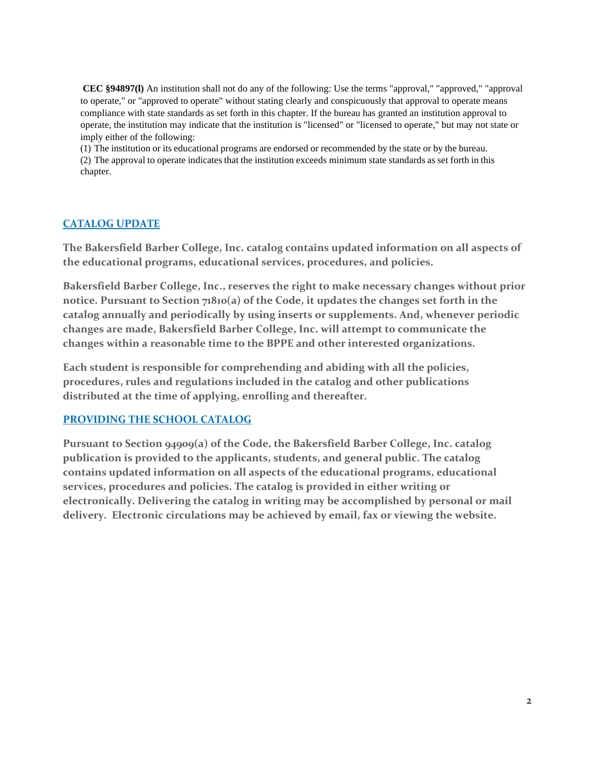**CEC §94897(l)** An institution shall not do any of the following: Use the terms "approval," "approved," "approval to operate," or "approved to operate" without stating clearly and conspicuously that approval to operate means compliance with state standards as set forth in this chapter. If the bureau has granted an institution approval to operate, the institution may indicate that the institution is "licensed" or "licensed to operate," but may not state or imply either of the following:

(1) The institution or its educational programs are endorsed or recommended by the state or by the bureau. (2) The approval to operate indicates that the institution exceeds minimum state standards as set forth in this chapter.

# **CATALOG UPDATE**

**The Bakersfield Barber College, Inc. catalog contains updated information on all aspects of the educational programs, educational services, procedures, and policies.**

**Bakersfield Barber College, Inc., reserves the right to make necessary changes without prior notice. Pursuant to Section 71810(a) of the Code, it updates the changes set forth in the catalog annually and periodically by using inserts or supplements. And, whenever periodic changes are made, Bakersfield Barber College, Inc. will attempt to communicate the changes within a reasonable time to the BPPE and other interested organizations.**

**Each student is responsible for comprehending and abiding with all the policies, procedures, rules and regulations included in the catalog and other publications distributed at the time of applying, enrolling and thereafter.**

# **PROVIDING THE SCHOOL CATALOG**

**Pursuant to Section 94909(a) of the Code, the Bakersfield Barber College, Inc. catalog publication is provided to the applicants, students, and general public. The catalog contains updated information on all aspects of the educational programs, educational services, procedures and policies. The catalog is provided in either writing or electronically. Delivering the catalog in writing may be accomplished by personal or mail delivery. Electronic circulations may be achieved by email, fax or viewing the website.**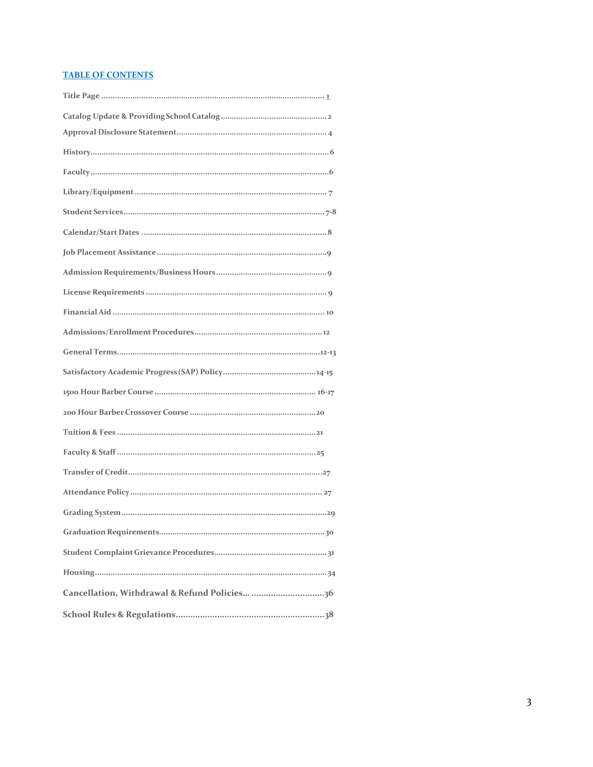### **TABLE OF CONTENTS**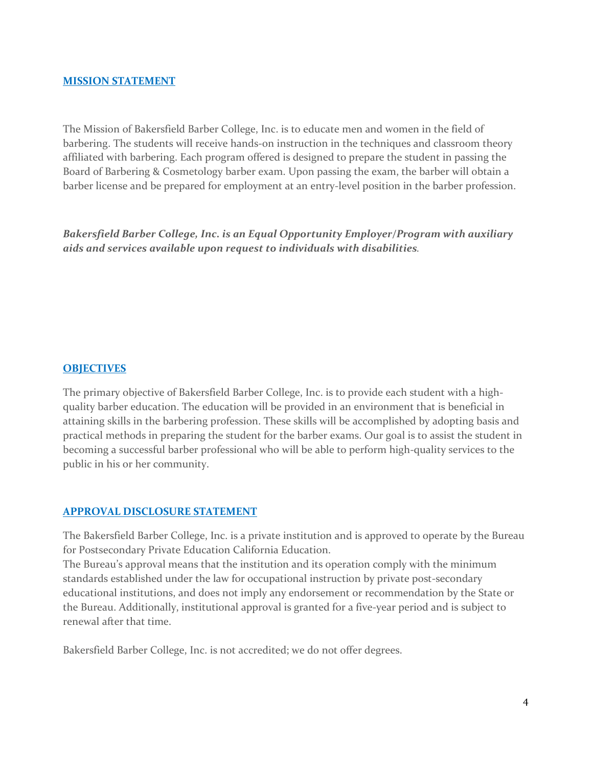#### **MISSION STATEMENT**

The Mission of Bakersfield Barber College, Inc. is to educate men and women in the field of barbering. The students will receive hands-on instruction in the techniques and classroom theory affiliated with barbering. Each program offered is designed to prepare the student in passing the Board of Barbering & Cosmetology barber exam. Upon passing the exam, the barber will obtain a barber license and be prepared for employment at an entry-level position in the barber profession.

*Bakersfield Barber College, Inc. is an Equal Opportunity Employer/Program with auxiliary aids and services available upon request to individuals with disabilities.*

### **OBJECTIVES**

The primary objective of Bakersfield Barber College, Inc. is to provide each student with a highquality barber education. The education will be provided in an environment that is beneficial in attaining skills in the barbering profession. These skills will be accomplished by adopting basis and practical methods in preparing the student for the barber exams. Our goal is to assist the student in becoming a successful barber professional who will be able to perform high-quality services to the public in his or her community.

#### <span id="page-3-0"></span>**APPROVAL DISCLOSURE STATEMENT**

The Bakersfield Barber College, Inc. is a private institution and is approved to operate by the Bureau for Postsecondary Private Education California Education.

The Bureau's approval means that the institution and its operation comply with the minimum standards established under the law for occupational instruction by private post-secondary educational institutions, and does not imply any endorsement or recommendation by the State or the Bureau. Additionally, institutional approval is granted for a five-year period and is subject to renewal after that time.

Bakersfield Barber College, Inc. is not accredited; we do not offer degrees.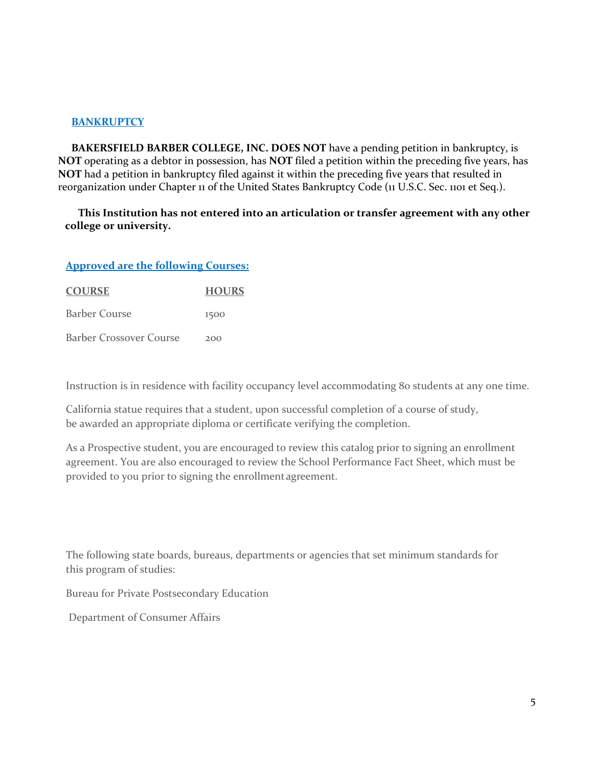# **BANKRUPTCY**

**BAKERSFIELD BARBER COLLEGE, INC. DOES NOT** have a pending petition in bankruptcy, is **NOT** operating as a debtor in possession, has **NOT** filed a petition within the preceding five years, has **NOT** had a petition in bankruptcy filed against it within the preceding five years that resulted in reorganization under Chapter 11 of the United States Bankruptcy Code (11 U.S.C. Sec. 1101 et Seq.).

# **This Institution has not entered into an articulation or transfer agreement with any other college or university.**

### **Approved are the following Courses:**

| <b>COURSE</b>                  | <b>HOURS</b> |
|--------------------------------|--------------|
| <b>Barber Course</b>           | 1500         |
| <b>Barber Crossover Course</b> | 200          |

Instruction is in residence with facility occupancy level accommodating 80 students at any one time.

California statue requires that a student, upon successful completion of a course of study, be awarded an appropriate diploma or certificate verifying the completion.

As a Prospective student, you are encouraged to review this catalog prior to signing an enrollment agreement. You are also encouraged to review the School Performance Fact Sheet, which must be provided to you prior to signing the enrollmentagreement.

The following state boards, bureaus, departments or agencies that set minimum standards for this program of studies:

Bureau for Private Postsecondary Education

Department of Consumer Affairs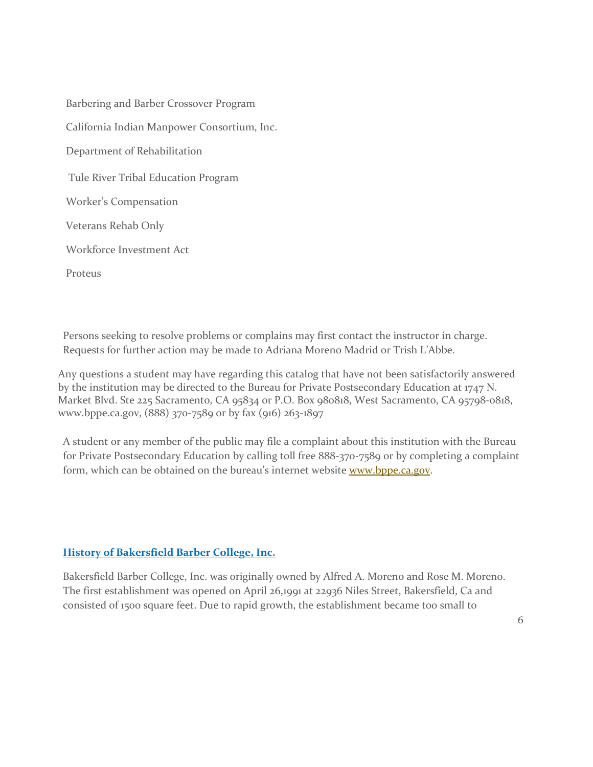| Barbering and Barber Crossover Program      |
|---------------------------------------------|
| California Indian Manpower Consortium, Inc. |
| Department of Rehabilitation                |
| Tule River Tribal Education Program         |
| Worker's Compensation                       |
| Veterans Rehab Only                         |
| Workforce Investment Act                    |
| Proteus                                     |

Persons seeking to resolve problems or complains may first contact the instructor in charge. Requests for further action may be made to Adriana Moreno Madrid or Trish L'Abbe.

Any questions a student may have regarding this catalog that have not been satisfactorily answered by the institution may be directed to the Bureau for Private Postsecondary Education at 1747 N. Market Blvd. Ste 225 Sacramento, CA 95834 or P.O. Box 980818, West Sacramento, CA 95798-0818, www.bppe.ca.gov, (888) 370-7589 or by fax (916) 263-1897

A student or any member of the public may file a complaint about this institution with the Bureau for Private Postsecondary Education by calling toll free 888-370-7589 or by completing a complaint form, which can be obtained on the bureau's internet website [www.bppe.ca.gov.](http://www.bppe.ca.gov/)

# **History of Bakersfield Barber College, Inc.**

Bakersfield Barber College, Inc. was originally owned by Alfred A. Moreno and Rose M. Moreno. The first establishment was opened on April 26,1991 at 22936 Niles Street, Bakersfield, Ca and consisted of 1500 square feet. Due to rapid growth, the establishment became too small to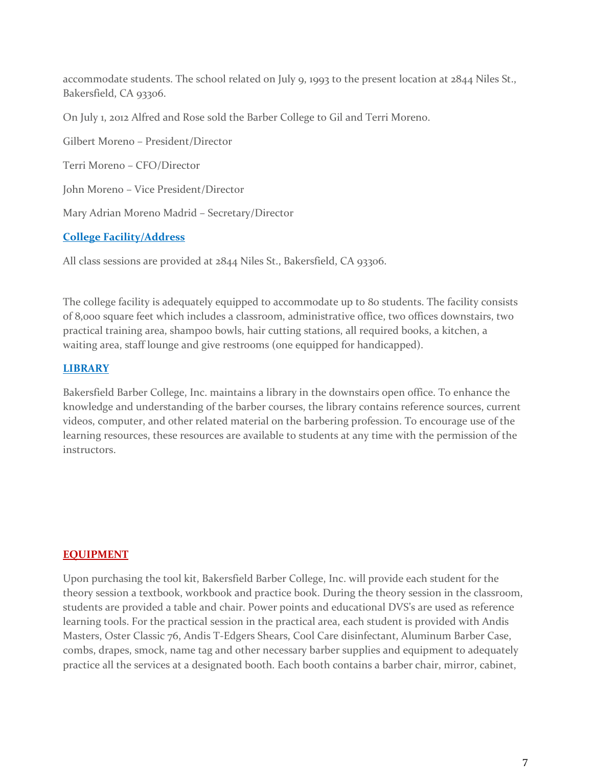accommodate students. The school related on July 9, 1993 to the present location at 2844 Niles St., Bakersfield, CA 93306.

On July 1, 2012 Alfred and Rose sold the Barber College to Gil and Terri Moreno.

Gilbert Moreno – President/Director Terri Moreno – CFO/Director John Moreno – Vice President/Director Mary Adrian Moreno Madrid – Secretary/Director

# **College Facility/Address**

All class sessions are provided at 2844 Niles St., Bakersfield, CA 93306.

The college facility is adequately equipped to accommodate up to 80 students. The facility consists of 8,000 square feet which includes a classroom, administrative office, two offices downstairs, two practical training area, shampoo bowls, hair cutting stations, all required books, a kitchen, a waiting area, staff lounge and give restrooms (one equipped for handicapped).

# **LIBRARY**

Bakersfield Barber College, Inc. maintains a library in the downstairs open office. To enhance the knowledge and understanding of the barber courses, the library contains reference sources, current videos, computer, and other related material on the barbering profession. To encourage use of the learning resources, these resources are available to students at any time with the permission of the instructors.

#### **EQUIPMENT**

Upon purchasing the tool kit, Bakersfield Barber College, Inc. will provide each student for the theory session a textbook, workbook and practice book. During the theory session in the classroom, students are provided a table and chair. Power points and educational DVS's are used as reference learning tools. For the practical session in the practical area, each student is provided with Andis Masters, Oster Classic 76, Andis T-Edgers Shears, Cool Care disinfectant, Aluminum Barber Case, combs, drapes, smock, name tag and other necessary barber supplies and equipment to adequately practice all the services at a designated booth. Each booth contains a barber chair, mirror, cabinet,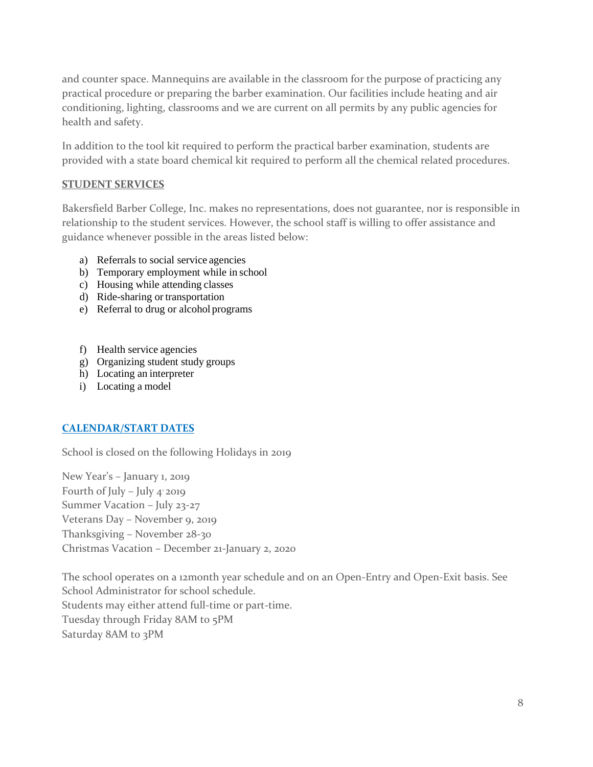and counter space. Mannequins are available in the classroom for the purpose of practicing any practical procedure or preparing the barber examination. Our facilities include heating and air conditioning, lighting, classrooms and we are current on all permits by any public agencies for health and safety.

In addition to the tool kit required to perform the practical barber examination, students are provided with a state board chemical kit required to perform all the chemical related procedures.

# <span id="page-7-0"></span>**STUDENT SERVICES**

Bakersfield Barber College, Inc. makes no representations, does not guarantee, nor is responsible in relationship to the student services. However, the school staff is willing to offer assistance and guidance whenever possible in the areas listed below:

- a) Referrals to social service agencies
- b) Temporary employment while in school
- c) Housing while attending classes
- d) Ride-sharing or transportation
- e) Referral to drug or alcohol programs
- f) Health service agencies
- g) Organizing student study groups
- h) Locating an interpreter
- i) Locating a model

# <span id="page-7-1"></span>**CALENDAR/START DATES**

School is closed on the following Holidays in 2019

New Year's – January 1, 2019 Fourth of July – July 4' 2019 Summer Vacation – July 23-27 Veterans Day – November 9, 2019 Thanksgiving – November 28-30 Christmas Vacation – December 21-January 2, 2020

The school operates on a 12month year schedule and on an Open-Entry and Open-Exit basis. See School Administrator for school schedule. Students may either attend full-time or part-time. Tuesday through Friday 8AM to 5PM Saturday 8AM to 3PM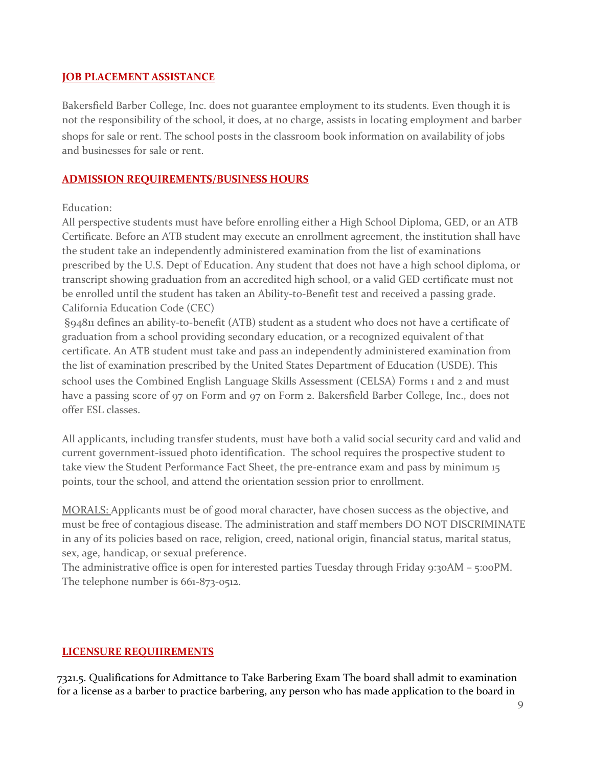# <span id="page-8-0"></span>**JOB PLACEMENT ASSISTANCE**

Bakersfield Barber College, Inc. does not guarantee employment to its students. Even though it is not the responsibility of the school, it does, at no charge, assists in locating employment and barber shops for sale or rent. The school posts in the classroom book information on availability of jobs and businesses for sale or rent.

# <span id="page-8-1"></span>**ADMISSION REQUIREMENTS/BUSINESS HOURS**

# Education:

All perspective students must have before enrolling either a High School Diploma, GED, or an ATB Certificate. Before an ATB student may execute an enrollment agreement, the institution shall have the student take an independently administered examination from the list of examinations prescribed by the U.S. Dept of Education. Any student that does not have a high school diploma, or transcript showing graduation from an accredited high school, or a valid GED certificate must not be enrolled until the student has taken an Ability-to-Benefit test and received a passing grade. California Education Code (CEC)

§94811 defines an ability-to-benefit (ATB) student as a student who does not have a certificate of graduation from a school providing secondary education, or a recognized equivalent of that certificate. An ATB student must take and pass an independently administered examination from the list of examination prescribed by the United States Department of Education (USDE). This school uses the Combined English Language Skills Assessment (CELSA) Forms 1 and 2 and must have a passing score of 97 on Form and 97 on Form 2. Bakersfield Barber College, Inc., does not offer ESL classes.

All applicants, including transfer students, must have both a valid social security card and valid and current government-issued photo identification. The school requires the prospective student to take view the Student Performance Fact Sheet, the pre-entrance exam and pass by minimum 15 points, tour the school, and attend the orientation session prior to enrollment.

MORALS: Applicants must be of good moral character, have chosen success as the objective, and must be free of contagious disease. The administration and staff members DO NOT DISCRIMINATE in any of its policies based on race, religion, creed, national origin, financial status, marital status, sex, age, handicap, or sexual preference.

The administrative office is open for interested parties Tuesday through Friday 9:30AM – 5:00PM. The telephone number is 661-873-0512.

# **LICENSURE REQUIIREMENTS**

7321.5. Qualifications for Admittance to Take Barbering Exam The board shall admit to examination for a license as a barber to practice barbering, any person who has made application to the board in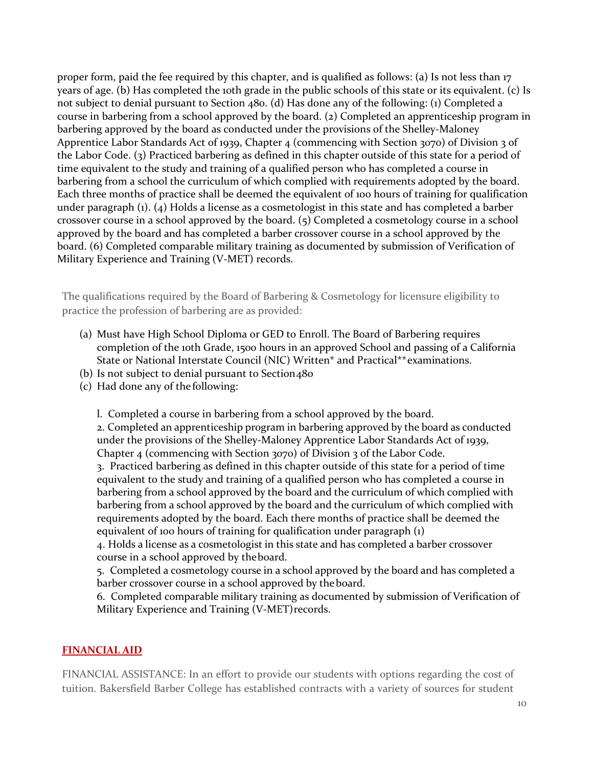proper form, paid the fee required by this chapter, and is qualified as follows: (a) Is not less than 17 years of age. (b) Has completed the 10th grade in the public schools of this state or its equivalent. (c) Is not subject to denial pursuant to Section 480. (d) Has done any of the following: (1) Completed a course in barbering from a school approved by the board. (2) Completed an apprenticeship program in barbering approved by the board as conducted under the provisions of the Shelley-Maloney Apprentice Labor Standards Act of 1939, Chapter 4 (commencing with Section 3070) of Division 3 of the Labor Code. (3) Practiced barbering as defined in this chapter outside of this state for a period of time equivalent to the study and training of a qualified person who has completed a course in barbering from a school the curriculum of which complied with requirements adopted by the board. Each three months of practice shall be deemed the equivalent of 100 hours of training for qualification under paragraph (1). (4) Holds a license as a cosmetologist in this state and has completed a barber crossover course in a school approved by the board. (5) Completed a cosmetology course in a school approved by the board and has completed a barber crossover course in a school approved by the board. (6) Completed comparable military training as documented by submission of Verification of Military Experience and Training (V-MET) records.

The qualifications required by the Board of Barbering & Cosmetology for licensure eligibility to practice the profession of barbering are as provided:

- (a) Must have High School Diploma or GED to Enroll. The Board of Barbering requires completion of the 10th Grade, 1500 hours in an approved School and passing of a California State or National Interstate Council (NIC) Written\* and Practical\*\*examinations.
- (b) Is not subject to denial pursuant to Section  $480$
- (c) Had done any of the following:

l. Completed a course in barbering from a school approved by the board.

2. Completed an apprenticeship program in barbering approved by the board as conducted under the provisions of the Shelley-Maloney Apprentice Labor Standards Act of 1939, Chapter 4 (commencing with Section 3070) of Division 3 of the Labor Code.

3. Practiced barbering as defined in this chapter outside of this state for a period of time equivalent to the study and training of a qualified person who has completed a course in barbering from a school approved by the board and the curriculum of which complied with barbering from a school approved by the board and the curriculum of which complied with requirements adopted by the board. Each there months of practice shall be deemed the equivalent of 100 hours of training for qualification under paragraph (1)

4. Holds a license as a cosmetologist in this state and has completed a barber crossover course in a school approved by theboard.

5. Completed a cosmetology course in a school approved by the board and has completed a barber crossover course in a school approved by theboard.

6. Completed comparable military training as documented by submission of Verification of Military Experience and Training (V-MET)records.

# <span id="page-9-0"></span>**FINANCIAL AID**

FINANCIAL ASSISTANCE: In an effort to provide our students with options regarding the cost of tuition. Bakersfield Barber College has established contracts with a variety of sources for student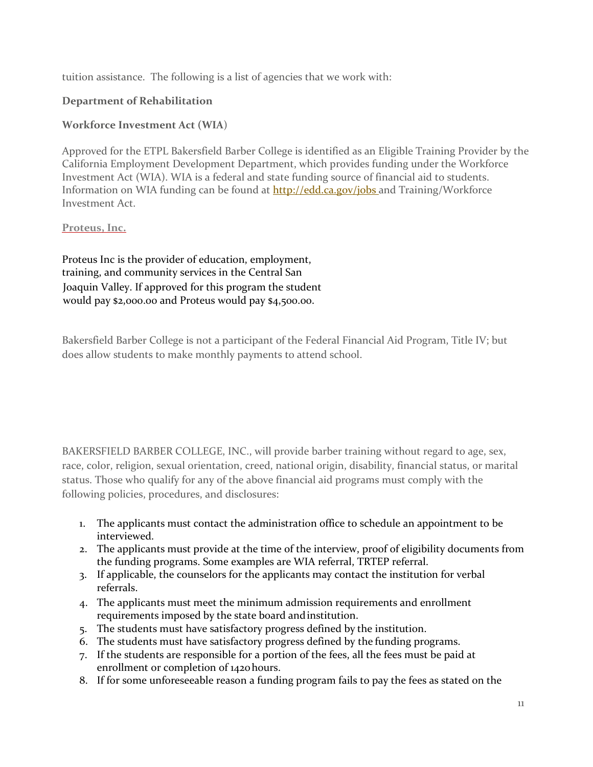tuition assistance. The following is a list of agencies that we work with:

# **Department of Rehabilitation**

# **Workforce Investment Act (WIA**)

Approved for the ETPL Bakersfield Barber College is identified as an Eligible Training Provider by the California Employment Development Department, which provides funding under the Workforce Investment Act (WIA). WIA is a federal and state funding source of financial aid to students. Information on WIA funding can be found at **http://edd.ca.gov/jobs** and Training/Workforce Investment Act.

# **Proteus, Inc.**

Proteus Inc is the provider of education, employment, training, and community services in the Central San Joaquin Valley. If approved for this program the student would pay \$2,000.00 and Proteus would pay \$4,500.00.

Bakersfield Barber College is not a participant of the Federal Financial Aid Program, Title IV; but does allow students to make monthly payments to attend school.

BAKERSFIELD BARBER COLLEGE, INC., will provide barber training without regard to age, sex, race, color, religion, sexual orientation, creed, national origin, disability, financial status, or marital status. Those who qualify for any of the above financial aid programs must comply with the following policies, procedures, and disclosures:

- 1. The applicants must contact the administration office to schedule an appointment to be interviewed.
- 2. The applicants must provide at the time of the interview, proof of eligibility documents from the funding programs. Some examples are WIA referral, TRTEP referral.
- 3. If applicable, the counselors for the applicants may contact the institution for verbal referrals.
- 4. The applicants must meet the minimum admission requirements and enrollment requirements imposed by the state board andinstitution.
- 5. The students must have satisfactory progress defined by the institution.
- 6. The students must have satisfactory progress defined by the funding programs.
- 7. If the students are responsible for a portion of the fees, all the fees must be paid at enrollment or completion of 1420hours.
- 8. If for some unforeseeable reason a funding program fails to pay the fees as stated on the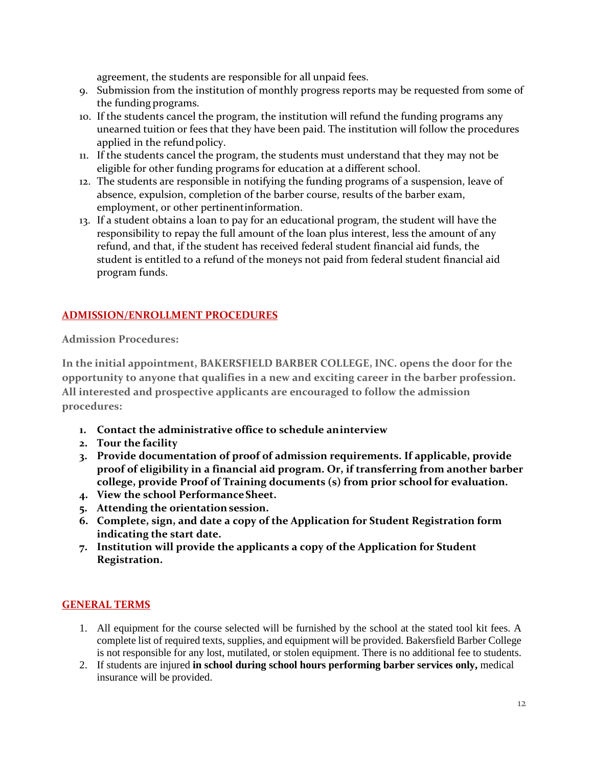agreement, the students are responsible for all unpaid fees.

- 9. Submission from the institution of monthly progress reports may be requested from some of the funding programs.
- 10. If the students cancel the program, the institution will refund the funding programs any unearned tuition or fees that they have been paid. The institution will follow the procedures applied in the refundpolicy.
- 11. If the students cancel the program, the students must understand that they may not be eligible for other funding programs for education at a different school.
- 12. The students are responsible in notifying the funding programs of a suspension, leave of absence, expulsion, completion of the barber course, results of the barber exam, employment, or other pertinentinformation.
- 13. If a student obtains a loan to pay for an educational program, the student will have the responsibility to repay the full amount of the loan plus interest, less the amount of any refund, and that, if the student has received federal student financial aid funds, the student is entitled to a refund of the moneys not paid from federal student financial aid program funds.

# **ADMISSION/ENROLLMENT PROCEDURES**

**Admission Procedures:**

**In the initial appointment, BAKERSFIELD BARBER COLLEGE, INC. opens the door for the opportunity to anyone that qualifies in a new and exciting career in the barber profession. All interested and prospective applicants are encouraged to follow the admission procedures:**

- **1. Contact the administrative office to schedule aninterview**
- **2. Tour the facility**
- **3. Provide documentation of proof of admission requirements. If applicable, provide proof of eligibility in a financial aid program. Or, if transferring from another barber college, provide Proof of Training documents (s) from prior schoolfor evaluation.**
- **4. View the school PerformanceSheet.**
- **5. Attending the orientation session.**
- **6. Complete, sign, and date a copy of the Application for Student Registration form indicating the start date.**
- **7. Institution will provide the applicants a copy of the Application for Student Registration.**

# <span id="page-11-0"></span>**GENERAL TERMS**

- 1. All equipment for the course selected will be furnished by the school at the stated tool kit fees. A complete list of required texts, supplies, and equipment will be provided. Bakersfield Barber College is not responsible for any lost, mutilated, or stolen equipment. There is no additional fee to students.
- 2. If students are injured **in school during school hours performing barber services only,** medical insurance will be provided.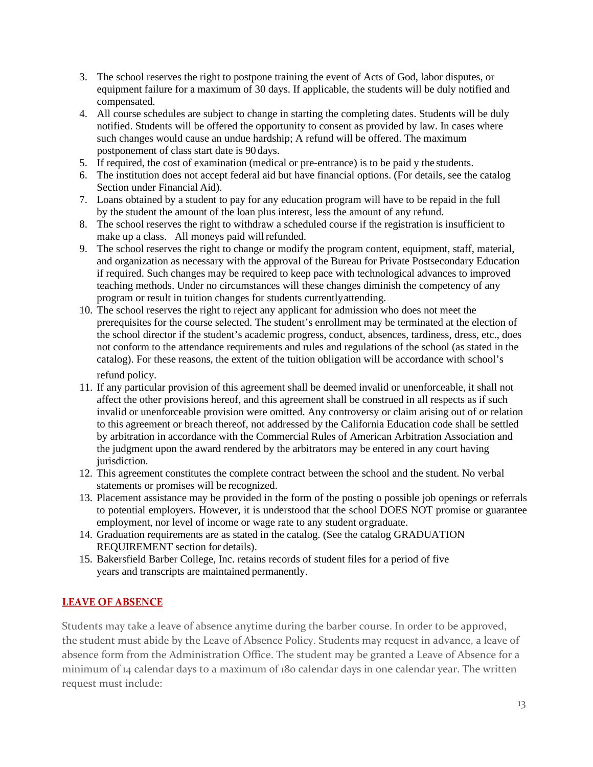- 3. The school reserves the right to postpone training the event of Acts of God, labor disputes, or equipment failure for a maximum of 30 days. If applicable, the students will be duly notified and compensated.
- 4. All course schedules are subject to change in starting the completing dates. Students will be duly notified. Students will be offered the opportunity to consent as provided by law. In cases where such changes would cause an undue hardship; A refund will be offered. The maximum postponement of class start date is 90 days.
- 5. If required, the cost of examination (medical or pre-entrance) is to be paid y the students.
- 6. The institution does not accept federal aid but have financial options. (For details, see the catalog Section under Financial Aid).
- 7. Loans obtained by a student to pay for any education program will have to be repaid in the full by the student the amount of the loan plus interest, less the amount of any refund.
- 8. The school reserves the right to withdraw a scheduled course if the registration is insufficient to make up a class. All moneys paid will refunded.
- 9. The school reserves the right to change or modify the program content, equipment, staff, material, and organization as necessary with the approval of the Bureau for Private Postsecondary Education if required. Such changes may be required to keep pace with technological advances to improved teaching methods. Under no circumstances will these changes diminish the competency of any program or result in tuition changes for students currently attending.
- 10. The school reserves the right to reject any applicant for admission who does not meet the prerequisites for the course selected. The student's enrollment may be terminated at the election of the school director if the student's academic progress, conduct, absences, tardiness, dress, etc., does not conform to the attendance requirements and rules and regulations of the school (as stated in the catalog). For these reasons, the extent of the tuition obligation will be accordance with school's refund policy.
- 11. If any particular provision of this agreement shall be deemed invalid or unenforceable, it shall not affect the other provisions hereof, and this agreement shall be construed in all respects as if such invalid or unenforceable provision were omitted. Any controversy or claim arising out of or relation to this agreement or breach thereof, not addressed by the California Education code shall be settled by arbitration in accordance with the Commercial Rules of American Arbitration Association and the judgment upon the award rendered by the arbitrators may be entered in any court having jurisdiction.
- 12. This agreement constitutes the complete contract between the school and the student. No verbal statements or promises will be recognized.
- 13. Placement assistance may be provided in the form of the posting o possible job openings or referrals to potential employers. However, it is understood that the school DOES NOT promise or guarantee employment, nor level of income or wage rate to any student or graduate.
- 14. Graduation requirements are as stated in the catalog. (See the catalog GRADUATION REQUIREMENT section for details).
- 15. Bakersfield Barber College, Inc. retains records of student files for a period of five years and transcripts are maintained permanently.

# **LEAVE OF ABSENCE**

Students may take a leave of absence anytime during the barber course. In order to be approved, the student must abide by the Leave of Absence Policy. Students may request in advance, a leave of absence form from the Administration Office. The student may be granted a Leave of Absence for a minimum of 14 calendar days to a maximum of 180 calendar days in one calendar year. The written request must include: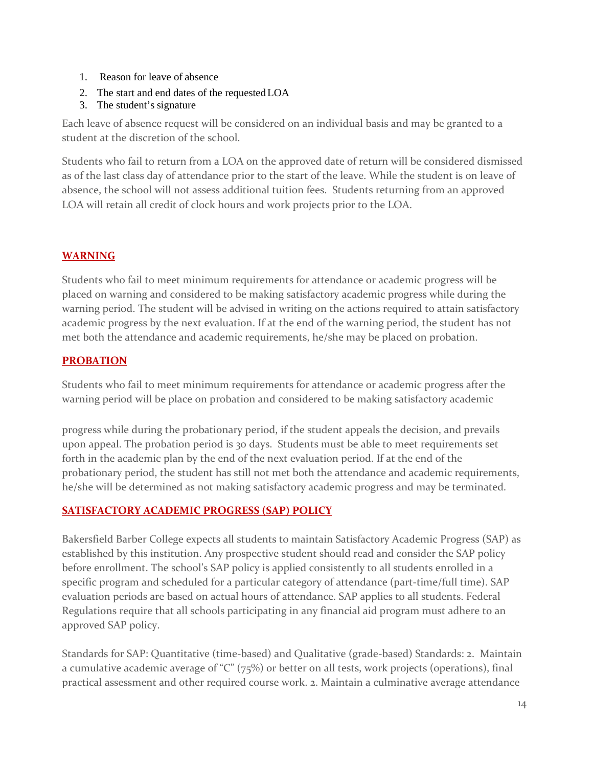- 1. Reason for leave of absence
- 2. The start and end dates of the requestedLOA
- 3. The student's signature

Each leave of absence request will be considered on an individual basis and may be granted to a student at the discretion of the school.

Students who fail to return from a LOA on the approved date of return will be considered dismissed as of the last class day of attendance prior to the start of the leave. While the student is on leave of absence, the school will not assess additional tuition fees. Students returning from an approved LOA will retain all credit of clock hours and work projects prior to the LOA.

# **WARNING**

Students who fail to meet minimum requirements for attendance or academic progress will be placed on warning and considered to be making satisfactory academic progress while during the warning period. The student will be advised in writing on the actions required to attain satisfactory academic progress by the next evaluation. If at the end of the warning period, the student has not met both the attendance and academic requirements, he/she may be placed on probation.

# **PROBATION**

Students who fail to meet minimum requirements for attendance or academic progress after the warning period will be place on probation and considered to be making satisfactory academic

progress while during the probationary period, if the student appeals the decision, and prevails upon appeal. The probation period is 30 days. Students must be able to meet requirements set forth in the academic plan by the end of the next evaluation period. If at the end of the probationary period, the student has still not met both the attendance and academic requirements, he/she will be determined as not making satisfactory academic progress and may be terminated.

# <span id="page-13-0"></span>**SATISFACTORY ACADEMIC PROGRESS (SAP) POLICY**

Bakersfield Barber College expects all students to maintain Satisfactory Academic Progress (SAP) as established by this institution. Any prospective student should read and consider the SAP policy before enrollment. The school's SAP policy is applied consistently to all students enrolled in a specific program and scheduled for a particular category of attendance (part-time/full time). SAP evaluation periods are based on actual hours of attendance. SAP applies to all students. Federal Regulations require that all schools participating in any financial aid program must adhere to an approved SAP policy.

Standards for SAP: Quantitative (time-based) and Qualitative (grade-based) Standards: 2. Maintain a cumulative academic average of "C" (75%) or better on all tests, work projects (operations), final practical assessment and other required course work. 2. Maintain a culminative average attendance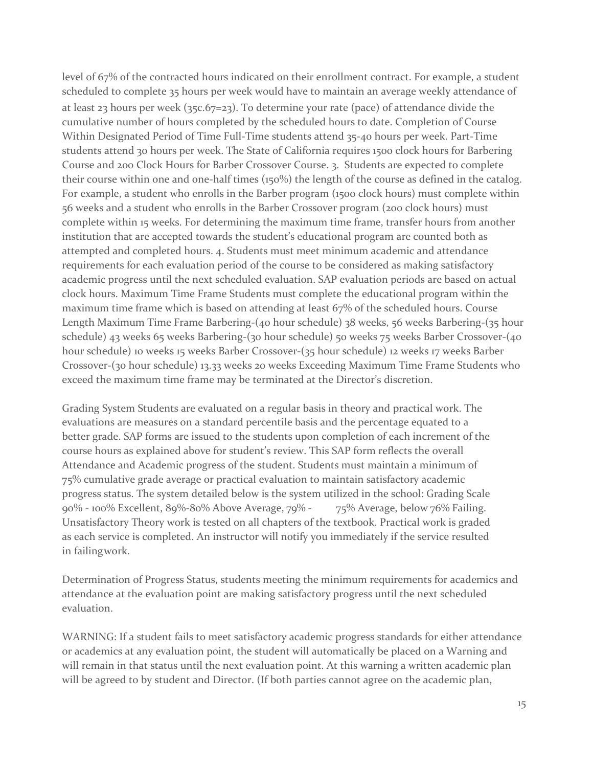level of 67% of the contracted hours indicated on their enrollment contract. For example, a student scheduled to complete 35 hours per week would have to maintain an average weekly attendance of at least 23 hours per week (35c.67=23). To determine your rate (pace) of attendance divide the cumulative number of hours completed by the scheduled hours to date. Completion of Course Within Designated Period of Time Full-Time students attend 35-40 hours per week. Part-Time students attend 30 hours per week. The State of California requires 1500 clock hours for Barbering Course and 200 Clock Hours for Barber Crossover Course. 3. Students are expected to complete their course within one and one-half times (150%) the length of the course as defined in the catalog. For example, a student who enrolls in the Barber program (1500 clock hours) must complete within 56 weeks and a student who enrolls in the Barber Crossover program (200 clock hours) must complete within 15 weeks. For determining the maximum time frame, transfer hours from another institution that are accepted towards the student's educational program are counted both as attempted and completed hours. 4. Students must meet minimum academic and attendance requirements for each evaluation period of the course to be considered as making satisfactory academic progress until the next scheduled evaluation. SAP evaluation periods are based on actual clock hours. Maximum Time Frame Students must complete the educational program within the maximum time frame which is based on attending at least 67% of the scheduled hours. Course Length Maximum Time Frame Barbering-(40 hour schedule) 38 weeks, 56 weeks Barbering-(35 hour schedule) 43 weeks 65 weeks Barbering-(30 hour schedule) 50 weeks 75 weeks Barber Crossover-(40 hour schedule) 10 weeks 15 weeks Barber Crossover-(35 hour schedule) 12 weeks 17 weeks Barber Crossover-(30 hour schedule) 13.33 weeks 20 weeks Exceeding Maximum Time Frame Students who exceed the maximum time frame may be terminated at the Director's discretion.

Grading System Students are evaluated on a regular basis in theory and practical work. The evaluations are measures on a standard percentile basis and the percentage equated to a better grade. SAP forms are issued to the students upon completion of each increment of the course hours as explained above for student's review. This SAP form reflects the overall Attendance and Academic progress of the student. Students must maintain a minimum of 75% cumulative grade average or practical evaluation to maintain satisfactory academic progress status. The system detailed below is the system utilized in the school: Grading Scale 90% - 100% Excellent, 89%-80% Above Average, 79% - 75% Average, below 76% Failing. Unsatisfactory Theory work is tested on all chapters of the textbook. Practical work is graded as each service is completed. An instructor will notify you immediately if the service resulted in failingwork.

Determination of Progress Status, students meeting the minimum requirements for academics and attendance at the evaluation point are making satisfactory progress until the next scheduled evaluation.

WARNING: If a student fails to meet satisfactory academic progress standards for either attendance or academics at any evaluation point, the student will automatically be placed on a Warning and will remain in that status until the next evaluation point. At this warning a written academic plan will be agreed to by student and Director. (If both parties cannot agree on the academic plan,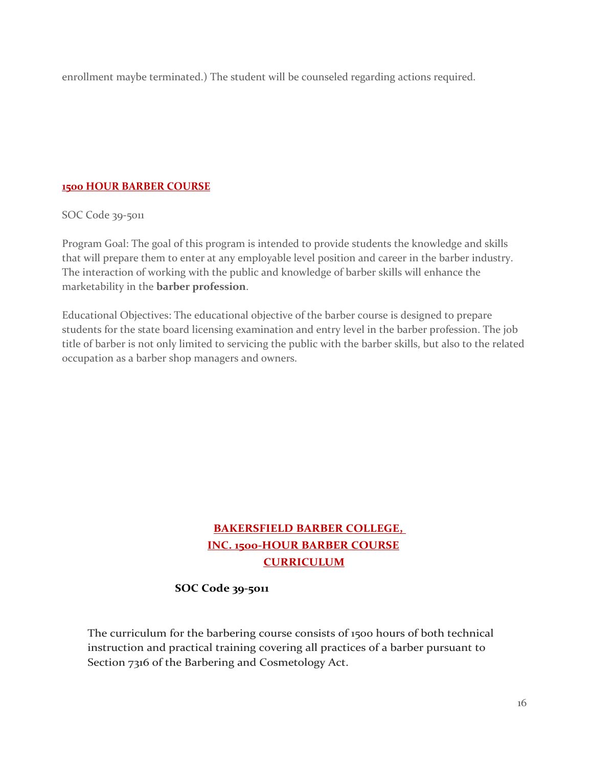enrollment maybe terminated.) The student will be counseled regarding actions required.

# <span id="page-15-0"></span>**1500 HOUR BARBER COURSE**

SOC Code 39-5011

Program Goal: The goal of this program is intended to provide students the knowledge and skills that will prepare them to enter at any employable level position and career in the barber industry. The interaction of working with the public and knowledge of barber skills will enhance the marketability in the **barber profession**.

Educational Objectives: The educational objective of the barber course is designed to prepare students for the state board licensing examination and entry level in the barber profession. The job title of barber is not only limited to servicing the public with the barber skills, but also to the related occupation as a barber shop managers and owners.

# **BAKERSFIELD BARBER COLLEGE, INC. 1500-HOUR BARBER COURSE CURRICULUM**

# **SOC Code 39-5011**

The curriculum for the barbering course consists of 1500 hours of both technical instruction and practical training covering all practices of a barber pursuant to Section 7316 of the Barbering and Cosmetology Act.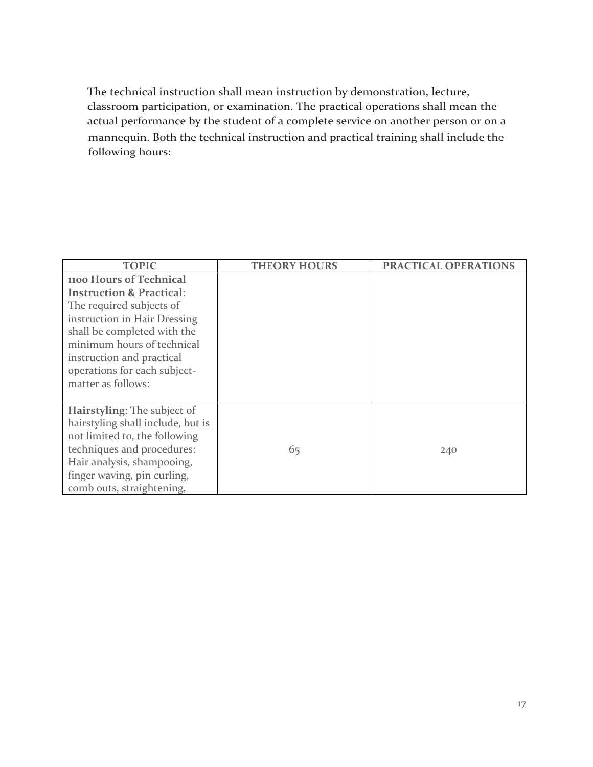The technical instruction shall mean instruction by demonstration, lecture, classroom participation, or examination. The practical operations shall mean the actual performance by the student of a complete service on another person or on a mannequin. Both the technical instruction and practical training shall include the following hours:

| <b>TOPIC</b>                        | <b>THEORY HOURS</b> | PRACTICAL OPERATIONS |
|-------------------------------------|---------------------|----------------------|
| 1100 Hours of Technical             |                     |                      |
| <b>Instruction &amp; Practical:</b> |                     |                      |
| The required subjects of            |                     |                      |
| instruction in Hair Dressing        |                     |                      |
| shall be completed with the         |                     |                      |
| minimum hours of technical          |                     |                      |
| instruction and practical           |                     |                      |
| operations for each subject-        |                     |                      |
| matter as follows:                  |                     |                      |
|                                     |                     |                      |
| Hairstyling: The subject of         |                     |                      |
| hairstyling shall include, but is   |                     |                      |
| not limited to, the following       |                     |                      |
| techniques and procedures:          | 65                  | 240                  |
| Hair analysis, shampooing,          |                     |                      |
| finger waving, pin curling,         |                     |                      |
| comb outs, straightening,           |                     |                      |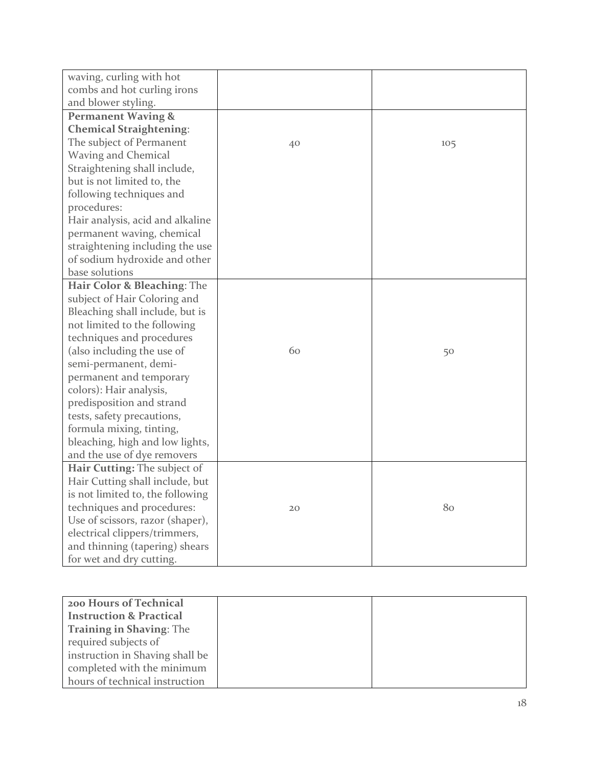| waving, curling with hot            |    |     |
|-------------------------------------|----|-----|
| combs and hot curling irons         |    |     |
| and blower styling.                 |    |     |
| <b>Permanent Waving &amp;</b>       |    |     |
| <b>Chemical Straightening:</b>      |    |     |
| The subject of Permanent            | 40 | 105 |
| <b>Waving and Chemical</b>          |    |     |
| Straightening shall include,        |    |     |
| but is not limited to, the          |    |     |
| following techniques and            |    |     |
| procedures:                         |    |     |
| Hair analysis, acid and alkaline    |    |     |
| permanent waving, chemical          |    |     |
| straightening including the use     |    |     |
| of sodium hydroxide and other       |    |     |
| base solutions                      |    |     |
| Hair Color & Bleaching: The         |    |     |
| subject of Hair Coloring and        |    |     |
| Bleaching shall include, but is     |    |     |
| not limited to the following        |    |     |
| techniques and procedures           |    |     |
| (also including the use of          | 60 | 50  |
| semi-permanent, demi-               |    |     |
| permanent and temporary             |    |     |
| colors): Hair analysis,             |    |     |
| predisposition and strand           |    |     |
| tests, safety precautions,          |    |     |
| formula mixing, tinting,            |    |     |
| bleaching, high and low lights,     |    |     |
| and the use of dye removers         |    |     |
| <b>Hair Cutting: The subject of</b> |    |     |
| Hair Cutting shall include, but     |    |     |
| is not limited to, the following    |    |     |
| techniques and procedures:          | 20 | 80  |
| Use of scissors, razor (shaper),    |    |     |
| electrical clippers/trimmers,       |    |     |
| and thinning (tapering) shears      |    |     |
| for wet and dry cutting.            |    |     |

| 200 Hours of Technical             |
|------------------------------------|
| <b>Instruction &amp; Practical</b> |
| <b>Training in Shaving: The</b>    |
| required subjects of               |
| instruction in Shaving shall be    |
| completed with the minimum         |
| hours of technical instruction     |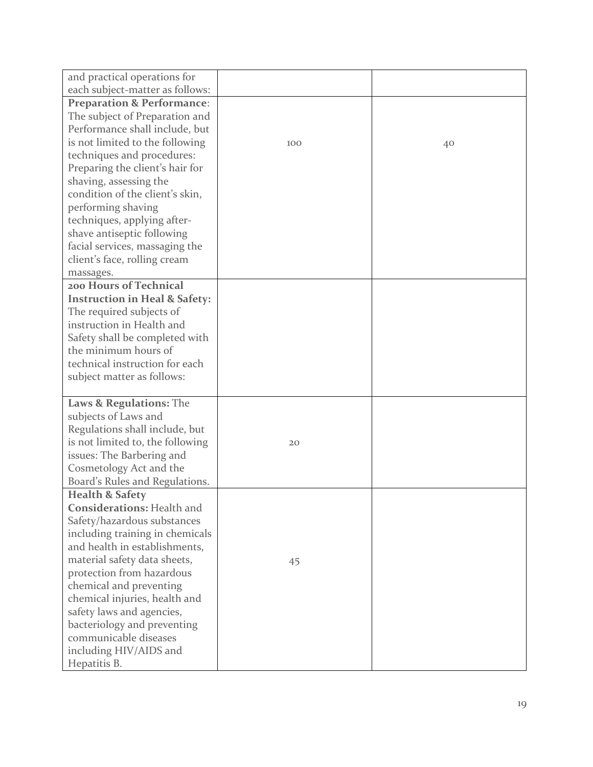| and practical operations for             |     |    |
|------------------------------------------|-----|----|
| each subject-matter as follows:          |     |    |
| <b>Preparation &amp; Performance:</b>    |     |    |
| The subject of Preparation and           |     |    |
| Performance shall include, but           |     |    |
| is not limited to the following          | 100 | 40 |
| techniques and procedures:               |     |    |
| Preparing the client's hair for          |     |    |
| shaving, assessing the                   |     |    |
| condition of the client's skin,          |     |    |
| performing shaving                       |     |    |
| techniques, applying after-              |     |    |
| shave antiseptic following               |     |    |
| facial services, massaging the           |     |    |
| client's face, rolling cream             |     |    |
| massages.                                |     |    |
| 200 Hours of Technical                   |     |    |
| <b>Instruction in Heal &amp; Safety:</b> |     |    |
| The required subjects of                 |     |    |
| instruction in Health and                |     |    |
| Safety shall be completed with           |     |    |
| the minimum hours of                     |     |    |
| technical instruction for each           |     |    |
| subject matter as follows:               |     |    |
| Laws & Regulations: The                  |     |    |
| subjects of Laws and                     |     |    |
| Regulations shall include, but           |     |    |
| is not limited to, the following         | 20  |    |
| issues: The Barbering and                |     |    |
| Cosmetology Act and the                  |     |    |
| Board's Rules and Regulations.           |     |    |
| <b>Health &amp; Safety</b>               |     |    |
| <b>Considerations: Health and</b>        |     |    |
| Safety/hazardous substances              |     |    |
| including training in chemicals          |     |    |
| and health in establishments,            |     |    |
| material safety data sheets,             | 45  |    |
| protection from hazardous                |     |    |
| chemical and preventing                  |     |    |
| chemical injuries, health and            |     |    |
| safety laws and agencies,                |     |    |
| bacteriology and preventing              |     |    |
| communicable diseases                    |     |    |
| including HIV/AIDS and                   |     |    |
| Hepatitis B.                             |     |    |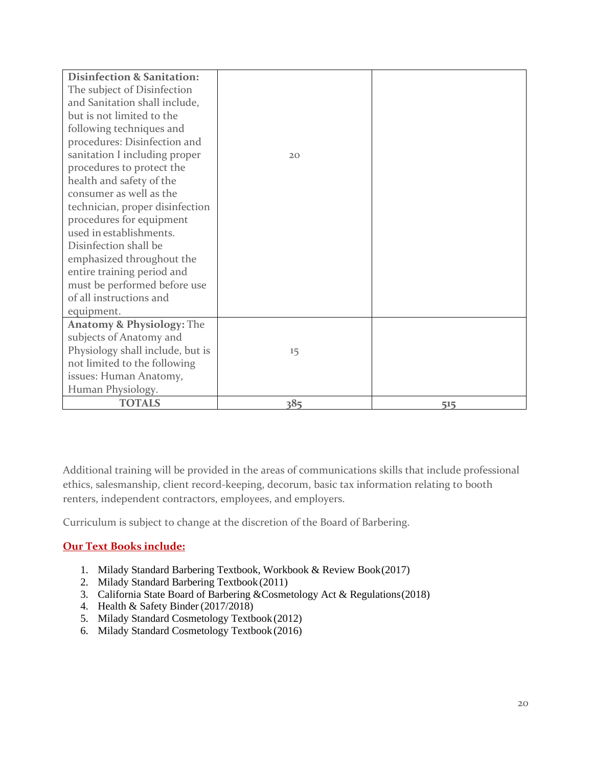| <b>Disinfection &amp; Sanitation:</b> |     |     |
|---------------------------------------|-----|-----|
| The subject of Disinfection           |     |     |
| and Sanitation shall include,         |     |     |
| but is not limited to the             |     |     |
| following techniques and              |     |     |
| procedures: Disinfection and          |     |     |
| sanitation I including proper         | 20  |     |
| procedures to protect the             |     |     |
| health and safety of the              |     |     |
| consumer as well as the               |     |     |
| technician, proper disinfection       |     |     |
| procedures for equipment              |     |     |
| used in establishments.               |     |     |
| Disinfection shall be                 |     |     |
| emphasized throughout the             |     |     |
| entire training period and            |     |     |
| must be performed before use          |     |     |
| of all instructions and               |     |     |
| equipment.                            |     |     |
| <b>Anatomy &amp; Physiology: The</b>  |     |     |
| subjects of Anatomy and               |     |     |
| Physiology shall include, but is      | 15  |     |
| not limited to the following          |     |     |
| issues: Human Anatomy,                |     |     |
| Human Physiology.                     |     |     |
| <b>TOTALS</b>                         | 385 | 515 |

Additional training will be provided in the areas of communications skills that include professional ethics, salesmanship, client record-keeping, decorum, basic tax information relating to booth renters, independent contractors, employees, and employers.

Curriculum is subject to change at the discretion of the Board of Barbering.

# **Our Text Books include:**

- 1. Milady Standard Barbering Textbook, Workbook & Review Book (2017)
- 2. Milady Standard Barbering Textbook (2011)
- 3. California State Board of Barbering &Cosmetology Act & Regulations (2018)
- 4. Health & Safety Binder (2017/2018)
- 5. Milady Standard Cosmetology Textbook (2012)
- 6. Milady Standard Cosmetology Textbook (2016)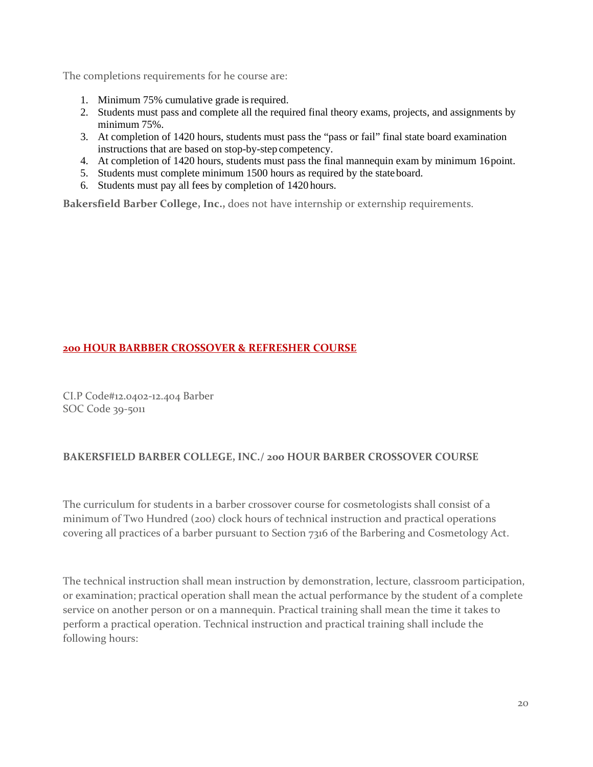The completions requirements for he course are:

- 1. Minimum 75% cumulative grade is required.
- 2. Students must pass and complete all the required final theory exams, projects, and assignments by minimum 75%.
- 3. At completion of 1420 hours, students must pass the "pass or fail" final state board examination instructions that are based on stop-by-step competency.
- 4. At completion of 1420 hours, students must pass the final mannequin exam by minimum 16 point.
- 5. Students must complete minimum 1500 hours as required by the state board.
- 6. Students must pay all fees by completion of 1420 hours.

**Bakersfield Barber College, Inc.,** does not have internship or externship requirements.

### **200 HOUR BARBBER CROSSOVER & REFRESHER COURSE**

CI.P Code#12.0402-12.404 Barber SOC Code 39-5011

# **BAKERSFIELD BARBER COLLEGE, INC./ 200 HOUR BARBER CROSSOVER COURSE**

The curriculum for students in a barber crossover course for cosmetologists shall consist of a minimum of Two Hundred (200) clock hours of technical instruction and practical operations covering all practices of a barber pursuant to Section 7316 of the Barbering and Cosmetology Act.

The technical instruction shall mean instruction by demonstration, lecture, classroom participation, or examination; practical operation shall mean the actual performance by the student of a complete service on another person or on a mannequin. Practical training shall mean the time it takes to perform a practical operation. Technical instruction and practical training shall include the following hours: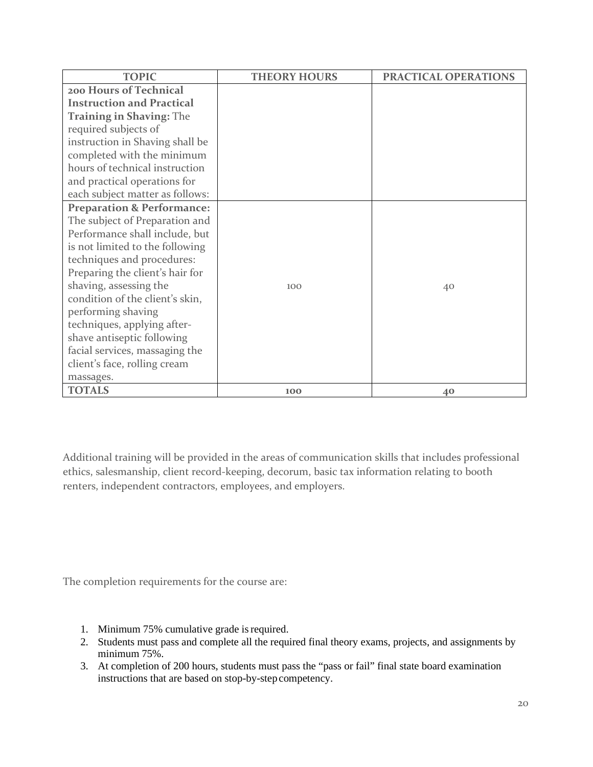| <b>TOPIC</b>                          | <b>THEORY HOURS</b> | PRACTICAL OPERATIONS |
|---------------------------------------|---------------------|----------------------|
| 200 Hours of Technical                |                     |                      |
| <b>Instruction and Practical</b>      |                     |                      |
| <b>Training in Shaving: The</b>       |                     |                      |
| required subjects of                  |                     |                      |
| instruction in Shaving shall be       |                     |                      |
| completed with the minimum            |                     |                      |
| hours of technical instruction        |                     |                      |
| and practical operations for          |                     |                      |
| each subject matter as follows:       |                     |                      |
| <b>Preparation &amp; Performance:</b> |                     |                      |
| The subject of Preparation and        |                     |                      |
| Performance shall include, but        |                     |                      |
| is not limited to the following       |                     |                      |
| techniques and procedures:            |                     |                      |
| Preparing the client's hair for       |                     |                      |
| shaving, assessing the                | 100                 | 40                   |
| condition of the client's skin,       |                     |                      |
| performing shaving                    |                     |                      |
| techniques, applying after-           |                     |                      |
| shave antiseptic following            |                     |                      |
| facial services, massaging the        |                     |                      |
| client's face, rolling cream          |                     |                      |
| massages.                             |                     |                      |
| <b>TOTALS</b>                         | 100                 | 40                   |

Additional training will be provided in the areas of communication skills that includes professional ethics, salesmanship, client record-keeping, decorum, basic tax information relating to booth renters, independent contractors, employees, and employers.

The completion requirements for the course are:

- 1. Minimum 75% cumulative grade is required.
- 2. Students must pass and complete all the required final theory exams, projects, and assignments by minimum 75%.
- 3. At completion of 200 hours, students must pass the "pass or fail" final state board examination instructions that are based on stop-by-step competency.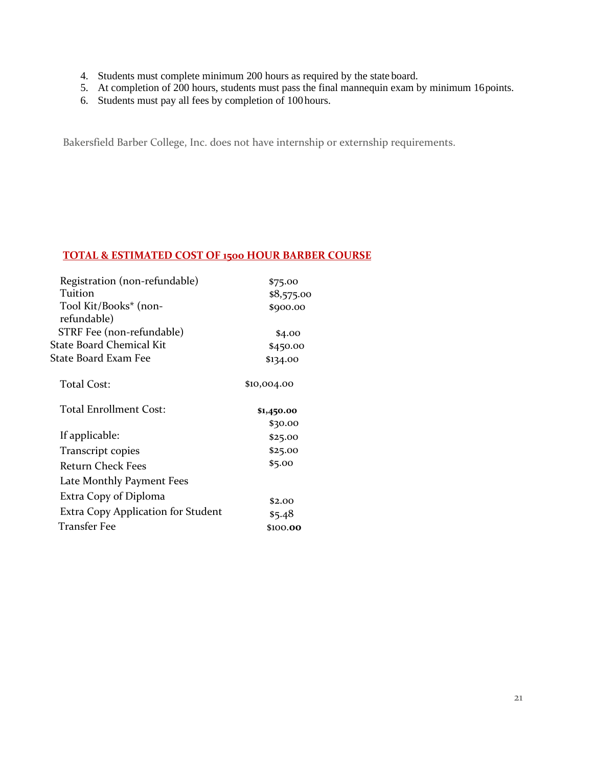- 4. Students must complete minimum 200 hours as required by the state board.
- 5. At completion of 200 hours, students must pass the final mannequin exam by minimum 16 points.
- 6. Students must pay all fees by completion of 100 hours.

Bakersfield Barber College, Inc. does not have internship or externship requirements.

# **TOTAL & ESTIMATED COST OF 1500 HOUR BARBER COURSE**

| Registration (non-refundable)      | \$75.00     |
|------------------------------------|-------------|
| Tuition                            | \$8,575.00  |
| Tool Kit/Books* (non-              | \$900.00    |
| refundable)                        |             |
| STRF Fee (non-refundable)          | \$4.00      |
| State Board Chemical Kit           | \$450.00    |
| State Board Exam Fee               | \$134.00    |
| Total Cost:                        | \$10,004.00 |
| Total Enrollment Cost:             | \$1,450.00  |
|                                    | \$30.00     |
| If applicable:                     | \$25.00     |
| Transcript copies                  | \$25.00     |
| Return Check Fees                  | \$5.00      |
| Late Monthly Payment Fees          |             |
| Extra Copy of Diploma              | \$2.00      |
| Extra Copy Application for Student | \$5.48      |
| <b>Transfer Fee</b>                | \$100.00    |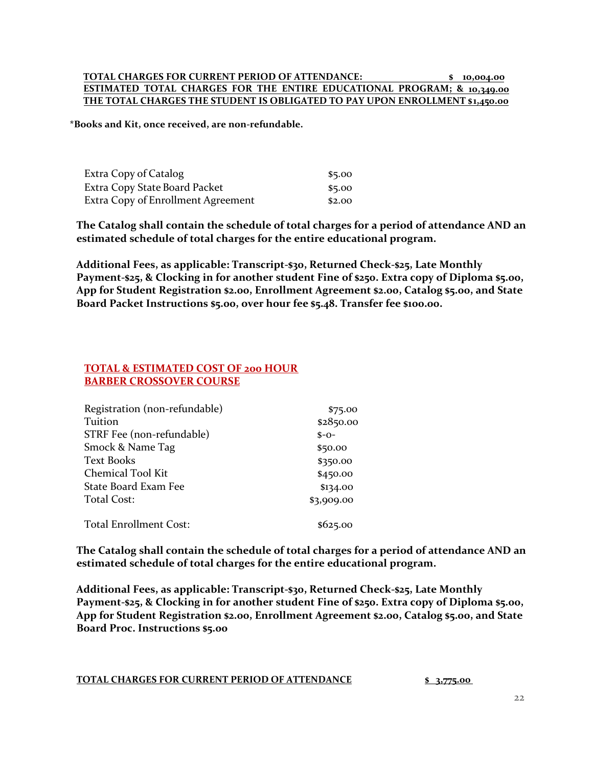#### **TOTAL CHARGES FOR CURRENT PERIOD OF ATTENDANCE: \$ 10,004.00 ESTIMATED TOTAL CHARGES FOR THE ENTIRE EDUCATIONAL PROGRAM; & 10,349.00 THE TOTAL CHARGES THE STUDENT IS OBLIGATED TO PAY UPON ENROLLMENT \$1,450.00**

**\*Books and Kit, once received, are non-refundable.**

| Extra Copy of Catalog              | \$5.00 |
|------------------------------------|--------|
| Extra Copy State Board Packet      | \$5.00 |
| Extra Copy of Enrollment Agreement | \$2.00 |

**The Catalog shall contain the schedule of total charges for a period of attendance AND an estimated schedule of total charges for the entire educational program.**

**Additional Fees, as applicable: Transcript-\$30, Returned Check-\$25, Late Monthly Payment-\$25, & Clocking in for another student Fine of \$250. Extra copy of Diploma \$5.00, App for Student Registration \$2.00, Enrollment Agreement \$2.00, Catalog \$5.00, and State Board Packet Instructions \$5.00, over hour fee \$5.48. Transfer fee \$100.00.**

#### **TOTAL & ESTIMATED COST OF 200 HOUR BARBER CROSSOVER COURSE**

| Registration (non-refundable) | \$75.00    |
|-------------------------------|------------|
| Tuition                       | \$2850.00  |
| STRF Fee (non-refundable)     | $S - O -$  |
| Smock & Name Tag              | \$50.00    |
| <b>Text Books</b>             | \$350.00   |
| Chemical Tool Kit             | \$450.00   |
| <b>State Board Exam Fee</b>   | \$134.00   |
| Total Cost:                   | \$3,909.00 |
| <b>Total Enrollment Cost:</b> | \$625.00   |

**The Catalog shall contain the schedule of total charges for a period of attendance AND an estimated schedule of total charges for the entire educational program.**

**Additional Fees, as applicable: Transcript-\$30, Returned Check-\$25, Late Monthly Payment-\$25, & Clocking in for another student Fine of \$250. Extra copy of Diploma \$5.00, App for Student Registration \$2.00, Enrollment Agreement \$2.00, Catalog \$5.00, and State Board Proc. Instructions \$5.00**

**TOTAL CHARGES FOR CURRENT PERIOD OF ATTENDANCE \$ 3,775.00**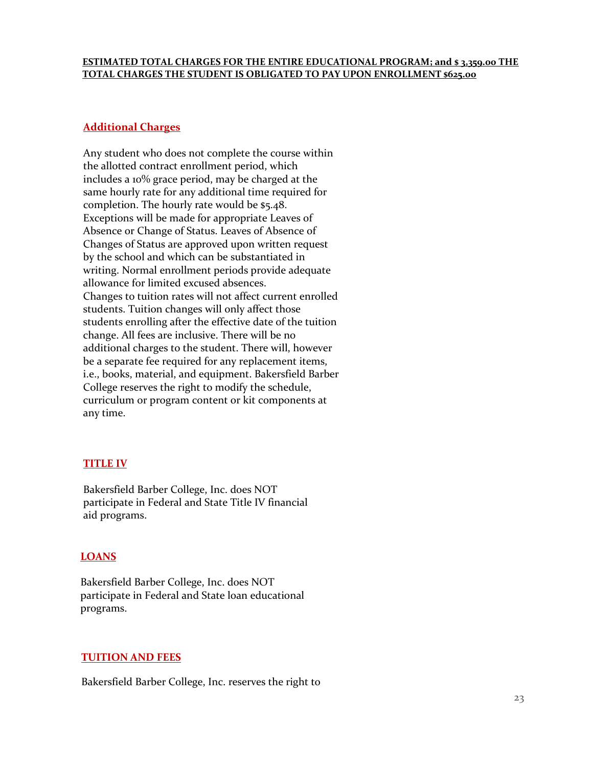#### **ESTIMATED TOTAL CHARGES FOR THE ENTIRE EDUCATIONAL PROGRAM; and \$ 3,359.00 THE TOTAL CHARGES THE STUDENT IS OBLIGATED TO PAY UPON ENROLLMENT \$625.00**

#### **Additional Charges**

Any student who does not complete the course within the allotted contract enrollment period, which includes a 10% grace period, may be charged at the same hourly rate for any additional time required for completion. The hourly rate would be \$5.48. Exceptions will be made for appropriate Leaves of Absence or Change of Status. Leaves of Absence of Changes of Status are approved upon written request by the school and which can be substantiated in writing. Normal enrollment periods provide adequate allowance for limited excused absences. Changes to tuition rates will not affect current enrolled students. Tuition changes will only affect those students enrolling after the effective date of the tuition change. All fees are inclusive. There will be no additional charges to the student. There will, however be a separate fee required for any replacement items, i.e., books, material, and equipment. Bakersfield Barber College reserves the right to modify the schedule, curriculum or program content or kit components at any time.

#### **TITLE IV**

Bakersfield Barber College, Inc. does NOT participate in Federal and State Title IV financial aid programs.

#### **LOANS**

Bakersfield Barber College, Inc. does NOT participate in Federal and State loan educational programs.

#### **TUITION AND FEES**

Bakersfield Barber College, Inc. reserves the right to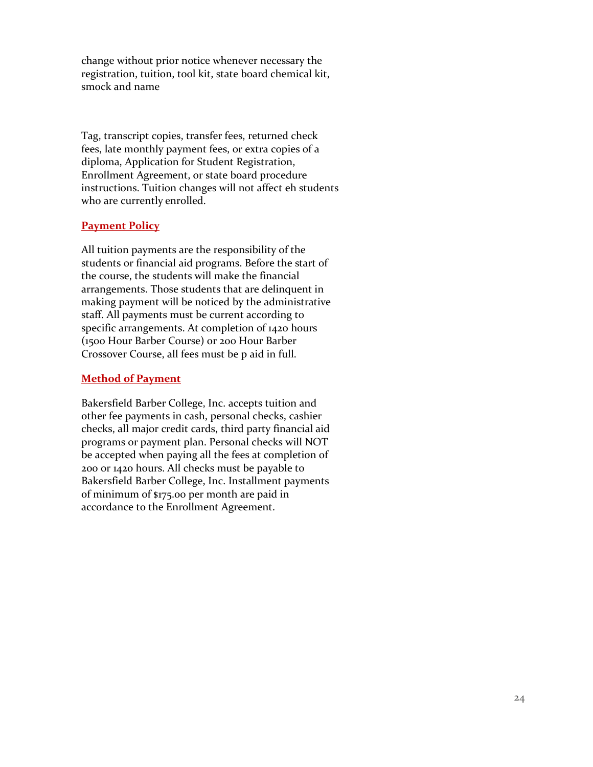change without prior notice whenever necessary the registration, tuition, tool kit, state board chemical kit, smock and name

Tag, transcript copies, transfer fees, returned check fees, late monthly payment fees, or extra copies of a diploma, Application for Student Registration, Enrollment Agreement, or state board procedure instructions. Tuition changes will not affect eh students who are currently enrolled.

# **Payment Policy**

All tuition payments are the responsibility of the students or financial aid programs. Before the start of the course, the students will make the financial arrangements. Those students that are delinquent in making payment will be noticed by the administrative staff. All payments must be current according to specific arrangements. At completion of 1420 hours (1500 Hour Barber Course) or 200 Hour Barber Crossover Course, all fees must be p aid in full.

# **Method of Payment**

Bakersfield Barber College, Inc. accepts tuition and other fee payments in cash, personal checks, cashier checks, all major credit cards, third party financial aid programs or payment plan. Personal checks will NOT be accepted when paying all the fees at completion of 200 or 1420 hours. All checks must be payable to Bakersfield Barber College, Inc. Installment payments of minimum of \$175.00 per month are paid in accordance to the Enrollment Agreement.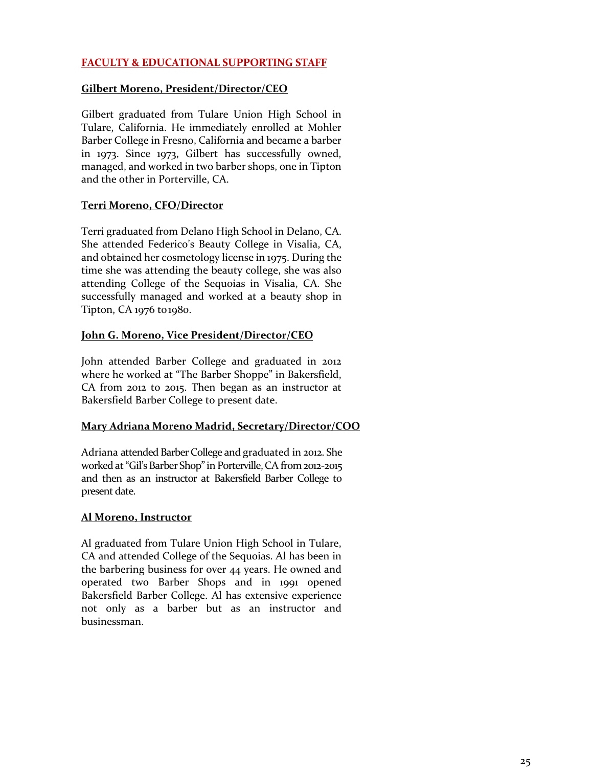# **FACULTY & EDUCATIONAL SUPPORTING STAFF**

### **Gilbert Moreno, President/Director/CEO**

Gilbert graduated from Tulare Union High School in Tulare, California. He immediately enrolled at Mohler Barber College in Fresno, California and became a barber in 1973. Since 1973, Gilbert has successfully owned, managed, and worked in two barber shops, one in Tipton and the other in Porterville, CA.

# **Terri Moreno, CFO/Director**

Terri graduated from Delano High School in Delano, CA. She attended Federico's Beauty College in Visalia, CA, and obtained her cosmetology license in 1975. During the time she was attending the beauty college, she was also attending College of the Sequoias in Visalia, CA. She successfully managed and worked at a beauty shop in Tipton, CA 1976 to1980.

# **John G. Moreno, Vice President/Director/CEO**

John attended Barber College and graduated in 2012 where he worked at "The Barber Shoppe" in Bakersfield, CA from 2012 to 2015. Then began as an instructor at Bakersfield Barber College to present date.

# **Mary Adriana Moreno Madrid, Secretary/Director/COO**

Adriana attended Barber College and graduated in 2012. She worked at "Gil's Barber Shop" in Porterville, CA from 2012-2015 and then as an instructor at Bakersfield Barber College to present date.

# **Al Moreno, Instructor**

Al graduated from Tulare Union High School in Tulare, CA and attended College of the Sequoias. Al has been in the barbering business for over 44 years. He owned and operated two Barber Shops and in 1991 opened Bakersfield Barber College. Al has extensive experience not only as a barber but as an instructor and businessman.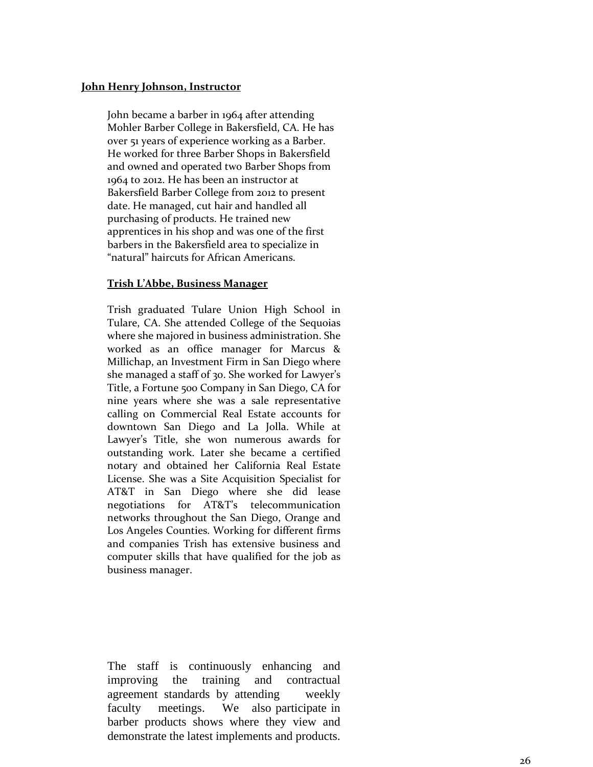#### **John Henry Johnson, Instructor**

John became a barber in 1964 after attending Mohler Barber College in Bakersfield, CA. He has over 51 years of experience working as a Barber. He worked for three Barber Shops in Bakersfield and owned and operated two Barber Shops from 1964 to 2012. He has been an instructor at Bakersfield Barber College from 2012 to present date. He managed, cut hair and handled all purchasing of products. He trained new apprentices in his shop and was one of the first barbers in the Bakersfield area to specialize in "natural" haircuts for African Americans.

# **Trish L'Abbe, Business Manager**

Trish graduated Tulare Union High School in Tulare, CA. She attended College of the Sequoias where she majored in business administration. She worked as an office manager for Marcus & Millichap, an Investment Firm in San Diego where she managed a staff of 30. She worked for Lawyer's Title, a Fortune 500 Company in San Diego, CA for nine years where she was a sale representative calling on Commercial Real Estate accounts for downtown San Diego and La Jolla. While at Lawyer's Title, she won numerous awards for outstanding work. Later she became a certified notary and obtained her California Real Estate License. She was a Site Acquisition Specialist for AT&T in San Diego where she did lease negotiations for AT&T's telecommunication networks throughout the San Diego, Orange and Los Angeles Counties. Working for different firms and companies Trish has extensive business and computer skills that have qualified for the job as business manager.

The staff is continuously enhancing and improving the training and contractual agreement standards by attending weekly faculty meetings. We also participate in barber products shows where they view and demonstrate the latest implements and products.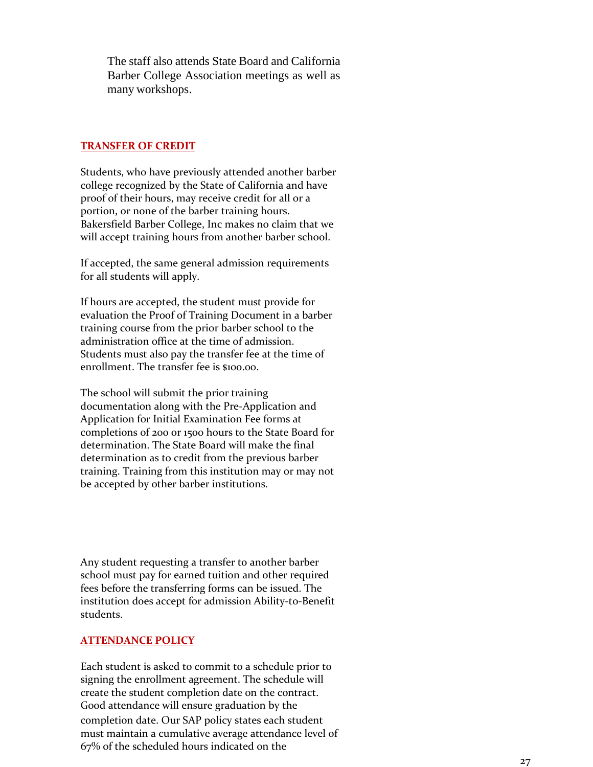The staff also attends State Board and California Barber College Association meetings as well as many workshops.

#### <span id="page-28-0"></span>**TRANSFER OF CREDIT**

Students, who have previously attended another barber college recognized by the State of California and have proof of their hours, may receive credit for all or a portion, or none of the barber training hours. Bakersfield Barber College, Inc makes no claim that we will accept training hours from another barber school.

If accepted, the same general admission requirements for all students will apply.

If hours are accepted, the student must provide for evaluation the Proof of Training Document in a barber training course from the prior barber school to the administration office at the time of admission. Students must also pay the transfer fee at the time of enrollment. The transfer fee is \$100.00.

The school will submit the prior training documentation along with the Pre-Application and Application for Initial Examination Fee forms at completions of 200 or 1500 hours to the State Board for determination. The State Board will make the final determination as to credit from the previous barber training. Training from this institution may or may not be accepted by other barber institutions.

Any student requesting a transfer to another barber school must pay for earned tuition and other required fees before the transferring forms can be issued. The institution does accept for admission Ability-to-Benefit students.

#### <span id="page-28-1"></span>**ATTENDANCE POLICY**

Each student is asked to commit to a schedule prior to signing the enrollment agreement. The schedule will create the student completion date on the contract. Good attendance will ensure graduation by the completion date. Our SAP policy states each student must maintain a cumulative average attendance level of 67% of the scheduled hours indicated on the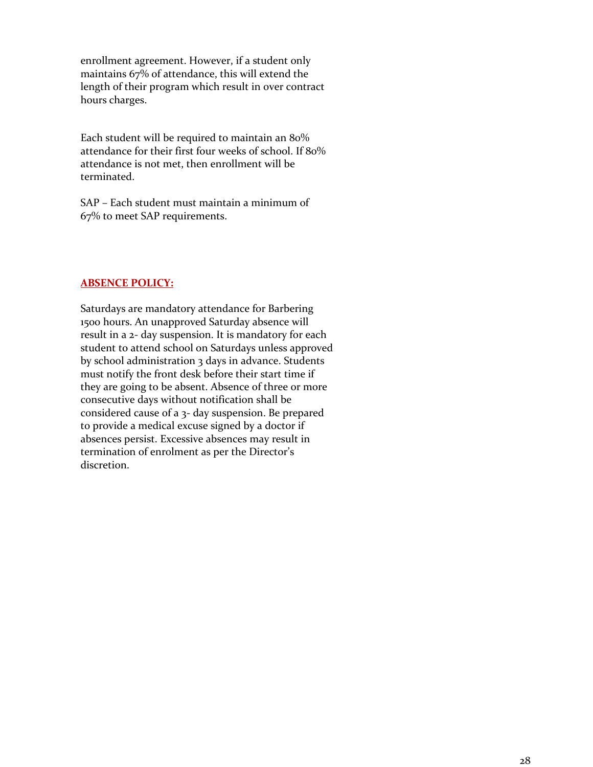enrollment agreement. However, if a student only maintains 67% of attendance, this will extend the length of their program which result in over contract hours charges.

Each student will be required to maintain an 80% attendance for their first four weeks of school. If 80% attendance is not met, then enrollment will be terminated.

SAP – Each student must maintain a minimum of 67% to meet SAP requirements.

#### **ABSENCE POLICY:**

Saturdays are mandatory attendance for Barbering 1500 hours. An unapproved Saturday absence will result in a 2- day suspension. It is mandatory for each student to attend school on Saturdays unless approved by school administration 3 days in advance. Students must notify the front desk before their start time if they are going to be absent. Absence of three or more consecutive days without notification shall be considered cause of a 3- day suspension. Be prepared to provide a medical excuse signed by a doctor if absences persist. Excessive absences may result in termination of enrolment as per the Director's discretion.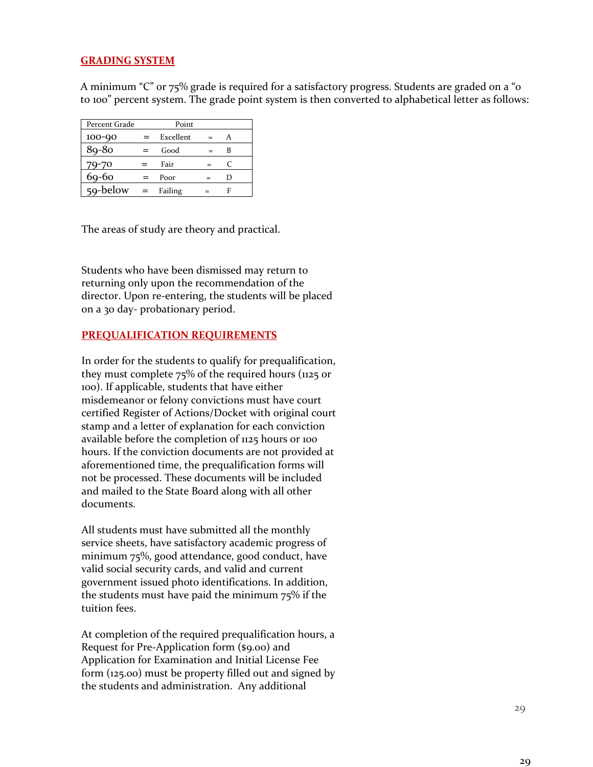### <span id="page-30-0"></span>**GRADING SYSTEM**

A minimum "C" or 75% grade is required for a satisfactory progress. Students are graded on a "0 to 100" percent system. The grade point system is then converted to alphabetical letter as follows:

| Percent Grade  | Point |           |     |   |  |
|----------------|-------|-----------|-----|---|--|
| 100-90         | $=$   | Excellent | $=$ |   |  |
| 89-80          |       | Good      |     | B |  |
| 79-70          |       | Fair      |     |   |  |
| 69-60          |       | Poor      |     | D |  |
| $59 - below =$ |       | Failing   |     |   |  |

The areas of study are theory and practical.

Students who have been dismissed may return to returning only upon the recommendation of the director. Upon re-entering, the students will be placed on a 30 day- probationary period.

#### **PREQUALIFICATION REQUIREMENTS**

In order for the students to qualify for prequalification, they must complete 75% of the required hours (1125 or 100). If applicable, students that have either misdemeanor or felony convictions must have court certified Register of Actions/Docket with original court stamp and a letter of explanation for each conviction available before the completion of 1125 hours or 100 hours. If the conviction documents are not provided at aforementioned time, the prequalification forms will not be processed. These documents will be included and mailed to the State Board along with all other documents.

All students must have submitted all the monthly service sheets, have satisfactory academic progress of minimum 75%, good attendance, good conduct, have valid social security cards, and valid and current government issued photo identifications. In addition, the students must have paid the minimum 75% if the tuition fees.

At completion of the required prequalification hours, a Request for Pre-Application form (\$9.00) and Application for Examination and Initial License Fee form (125.00) must be property filled out and signed by the students and administration. Any additional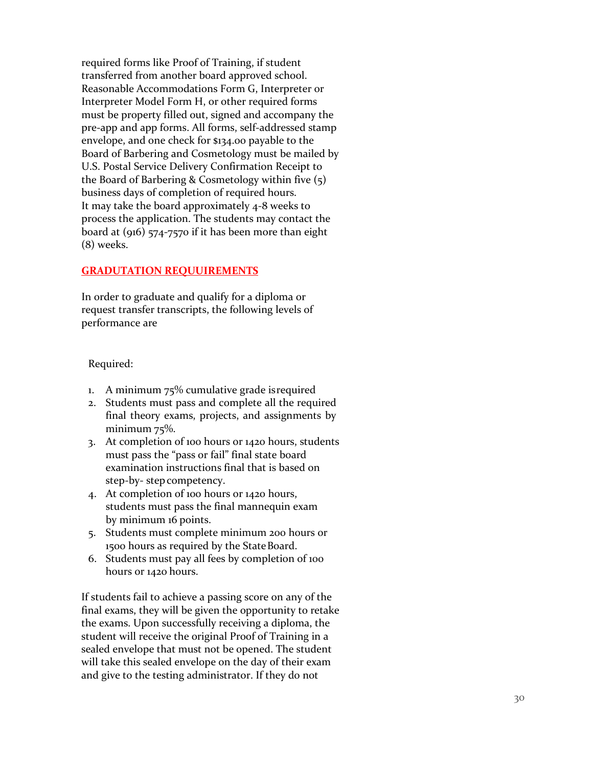required forms like Proof of Training, if student transferred from another board approved school. Reasonable Accommodations Form G, Interpreter or Interpreter Model Form H, or other required forms must be property filled out, signed and accompany the pre -app and app forms. All forms, self-addressed stamp envelope, and one check for \$134.00 payable to the Board of Barbering and Cosmetology must be mailed by U.S. Postal Service Delivery Confirmation Receipt to the Board of Barbering & Cosmetology within five (5) business days of completion of required hours. It may take the board approximately 4 -8 weeks to process the application. The students may contact the board at (916) 574 -7570 if it has been more than eight (8) weeks.

### **GRADUTATION REQUUIREMENTS**

In order to graduate and qualify for a diploma or request transfer transcripts, the following levels of performance are

Required:

- 1. A minimum 75% cumulative grade isrequired
- 2. Students must pass and complete all the required final theory exams, projects, and assignments by minimum 75%.
- 3. At completion of 100 hours or 1420 hours, students must pass the "pass or fail" final state board examination instructions final that is based on step -by - stepcompetency.
- 4. At completion of 100 hours or 1420 hours, students must pass the final mannequin exam by minimum 16 points.
- 5. Students must complete minimum 200 hours or 1500 hours as required by the StateBoard.
- 6. Students must pay all fees by completion of 100 hours or 1420 hours.

If students fail to achieve a passing score on any of the final exams, they will be given the opportunity to retake the exams. Upon successfully receiving a diploma, the student will receive the original Proof of Training in a sealed envelope that must not be opened. The student will take this sealed envelope on the day of their exam and give to the testing administrator. If they do not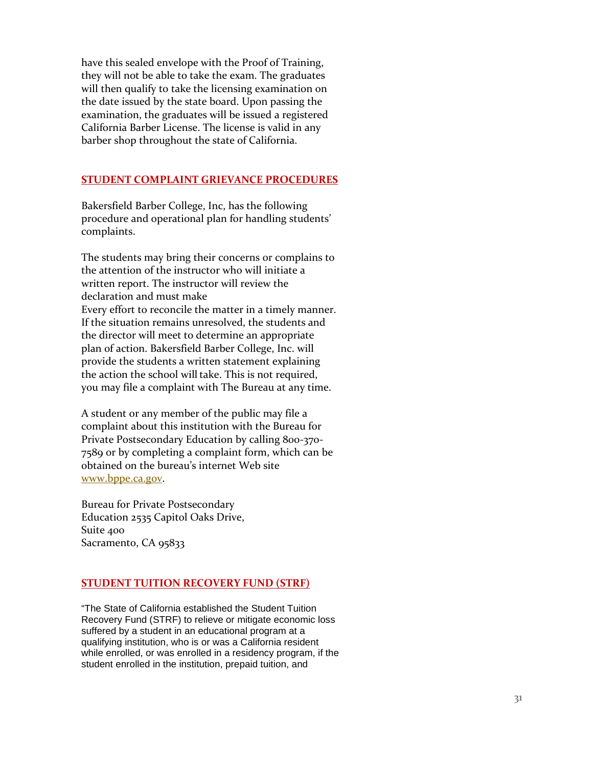have this sealed envelope with the Proof of Training, they will not be able to take the exam. The graduates will then qualify to take the licensing examination on the date issued by the state board. Upon passing the examination, the graduates will be issued a registered California Barber License. The license is valid in any barber shop throughout the state of California.

#### <span id="page-32-0"></span>**STUDENT COMPLAINT GRIEVANCE PROCEDURES**

Bakersfield Barber College, Inc, has the following procedure and operational plan for handling students' complaints.

The students may bring their concerns or complains to the attention of the instructor who will initiate a written report. The instructor will review the declaration and must make Every effort to reconcile the matter in a timely manner. If the situation remains unresolved, the students and the director will meet to determine an appropriate plan of action. Bakersfield Barber College, Inc. will provide the students a written statement explaining the action the school will take. This is not required, you may file a complaint with The Bureau at any time.

A student or any member of the public may file a complaint about this institution with the Bureau for Private Postsecondary Education by calling 800-370-7589 or by completing a complaint form, which can be obtained on the bureau's internet Web site [www.bppe.ca.gov](http://www.bppe.ca.gov/) .

Bureau for Private Postsecondary Education 2535 Capitol Oaks Drive, Suite 400 Sacramento, CA 95833

# **STUDENT TUITION RECOVERY FUND (STRF)**

"The State of California established the Student Tuition Recovery Fund (STRF) to relieve or mitigate economic loss suffered by a student in an educational program at a qualifying institution, who is or was a California resident while enrolled, or was enrolled in a residency program, if the student enrolled in the institution, prepaid tuition, and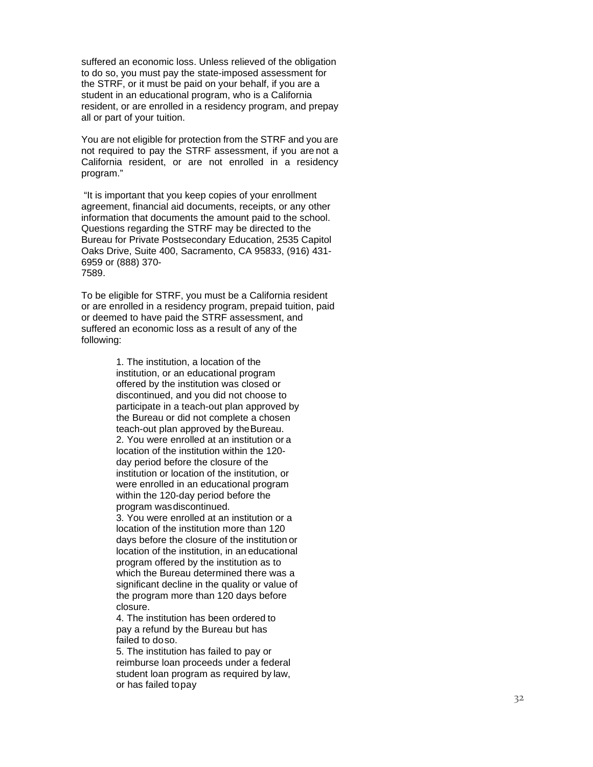suffered an economic loss. Unless relieved of the obligation to do so, you must pay the state -imposed assessment for the STRF, or it must be paid on your behalf, if you are a student in an educational program, who is a California resident, or are enrolled in a residency program, and prepay all or part of your tuition.

You are not eligible for protection from the STRF and you are not required to pay the STRF assessment, if you are not a California resident, or are not enrolled in a residency program."

"It is important that you keep copies of your enrollment agreement, financial aid documents, receipts, or any other information that documents the amount paid to the school. Questions regarding the STRF may be directed to the Bureau for Private Postsecondary Education, 2535 Capitol Oaks Drive, Suite 400, Sacramento, CA 95833, (916) 431 - 6959 or (888) 370 - 7589.

To be eligible for STRF, you must be a California resident or are enrolled in a residency program, prepaid tuition, paid or deemed to have paid the STRF assessment, and suffered an economic loss as a result of any of the following:

> 1. The institution, a location of the institution, or an educational program offered by the institution was closed or discontinued, and you did not choose to participate in a teach -out plan approved by the Bureau or did not complete a chosen teach -out plan approved by theBureau. 2. You were enrolled at an institution or a location of the institution within the 120 day period before the closure of the institution or location of the institution, or were enrolled in an educational program within the 120 -day period before the program wasdiscontinued. 3. You were enrolled at an institution or a location of the institution more than 120 days before the closure of the institution or location of the institution, in an educational program offered by the institution as to which the Bureau determined there was a significant decline in the quality or value of the program more than 120 days before closure.

4. The institution has been ordered to pay a refund by the Bureau but has failed to doso.

5. The institution has failed to pay or reimburse loan proceeds under a federal student loan program as required by law, or has failed topay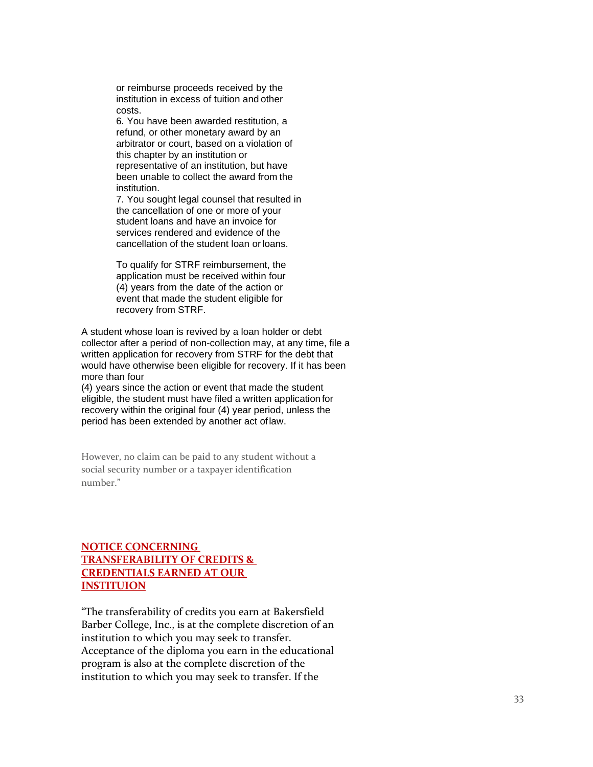or reimburse proceeds received by the institution in excess of tuition and other costs.

6. You have been awarded restitution, a refund, or other monetary award by an arbitrator or court, based on a violation of this chapter by an institution or representative of an institution, but have been unable to collect the award from the institution.

7. You sought legal counsel that resulted in the cancellation of one or more of your student loans and have an invoice for services rendered and evidence of the cancellation of the student loan orloans.

To qualify for STRF reimbursement, the application must be received within four (4) years from the date of the action or event that made the student eligible for recovery from STRF.

A student whose loan is revived by a loan holder or debt collector after a period of non-collection may, at any time, file a written application for recovery from STRF for the debt that would have otherwise been eligible for recovery. If it has been more than four

(4) years since the action or event that made the student eligible, the student must have filed a written application for recovery within the original four (4) year period, unless the period has been extended by another act oflaw.

However, no claim can be paid to any student without a social security number or a taxpayer identification number."

# **NOTICE CONCERNING TRANSFERABILITY OF CREDITS & CREDENTIALS EARNED AT OUR INSTITUION**

"The transferability of credits you earn at Bakersfield Barber College, Inc., is at the complete discretion of an institution to which you may seek to transfer. Acceptance of the diploma you earn in the educational program is also at the complete discretion of the institution to which you may seek to transfer. If the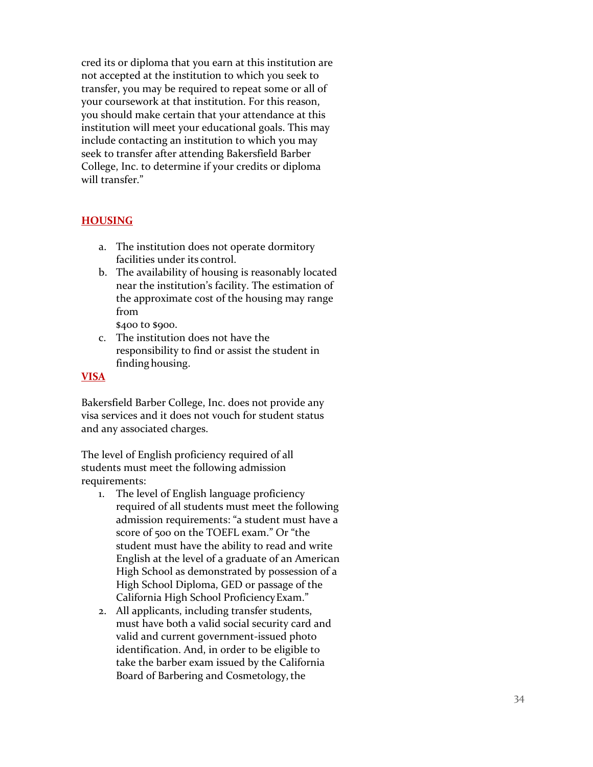cred its or diploma that you earn at this institution are not accepted at the institution to which you seek to transfer, you may be required to repeat some or all of your coursework at that institution. For this reason, you should make certain that your attendance at this institution will meet your educational goals. This may include contacting an institution to which you may seek to transfer after attending Bakersfield Barber College, Inc. to determine if your credits or diploma will transfer."

# <span id="page-35-0"></span>**HOUSING**

- a. The institution does not operate dormitory facilities under its control.
- b. The availability of housing is reasonably located near the institution's facility. The estimation of the approximate cost of the housing may range from

\$400 to \$900.

c. The institution does not have the responsibility to find or assist the student in finding housing.

#### **VISA**

Bakersfield Barber College, Inc. does not provide any visa services and it does not vouch for student status and any associated charges.

The level of English proficiency required of all students must meet the following admission requirements:

- 1. The level of English language proficiency required of all students must meet the following admission requirements: "a student must have a score of 500 on the TOEFL exam." Or "the student must have the ability to read and write English at the level of a graduate of an American High School as demonstrated by possession of a High School Diploma, GED or passage of the California High School ProficiencyExam."
- 2. All applicants, including transfer students, must have both a valid social security card and valid and current government -issued photo identification. And, in order to be eligible to take the barber exam issued by the California Board of Barbering and Cosmetology, the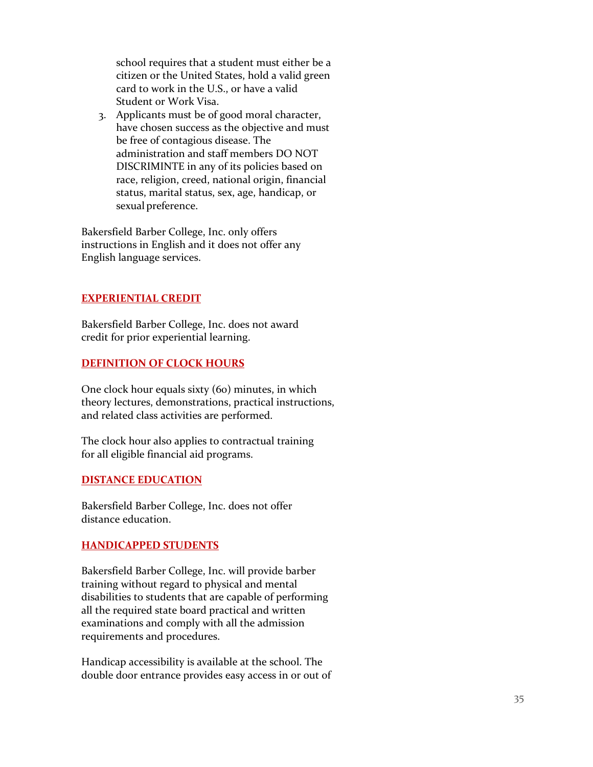school requires that a student must either be a citizen or the United States, hold a valid green card to work in the U.S., or have a valid Student or Work Visa.

3. Applicants must be of good moral character, have chosen success as the objective and must be free of contagious disease. The administration and staff members DO NOT DISCRIMINTE in any of its policies based on race, religion, creed, national origin, financial status, marital status, sex, age, handicap, or sexual preference.

Bakersfield Barber College, Inc. only offers instructions in English and it does not offer any English language services.

# **EXPERIENTIAL CREDIT**

Bakersfield Barber College, Inc. does not award credit for prior experiential learning.

# **DEFINITION OF CLOCK HOURS**

One clock hour equals sixty (60) minutes, in which theory lectures, demonstrations, practical instructions, and related class activities are performed.

The clock hour also applies to contractual training for all eligible financial aid programs.

#### **DISTANCE EDUCATION**

Bakersfield Barber College, Inc. does not offer distance education.

# **HANDICAPPED STUDENTS**

Bakersfield Barber College, Inc. will provide barber training without regard to physical and mental disabilities to students that are capable of performing all the required state board practical and written examinations and comply with all the admission requirements and procedures.

Handicap accessibility is available at the school. The double door entrance provides easy access in or out of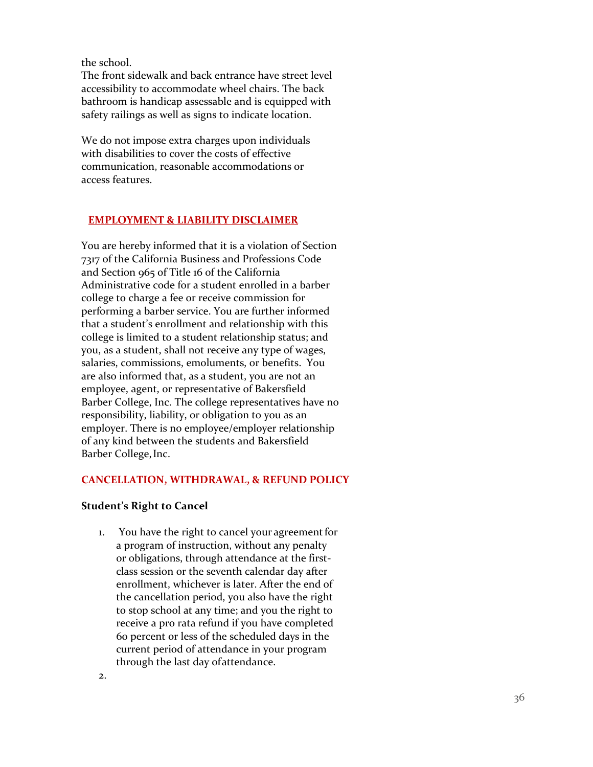the school.

The front sidewalk and back entrance have street level accessibility to accommodate wheel chairs. The back bathroom is handicap assessable and is equipped with safety railings as well as signs to indicate location.

We do not impose extra charges upon individuals with disabilities to cover the costs of effective communication, reasonable accommodations or access features.

# **EMPLOYMENT & LIABILITY DISCLAIMER**

You are hereby informed that it is a violation of Section 7317 of the California Business and Professions Code and Section 965 of Title 16 of the California Administrative code for a student enrolled in a barber college to charge a fee or receive commission for performing a barber service. You are further informed that a student's enrollment and relationship with this college is limited to a student relationship status; and you, as a student, shall not receive any type of wages, salaries, commissions, emoluments, or benefits. You are also informed that, as a student, you are not an employee, agent, or representative of Bakersfield Barber College, Inc. The college representatives have no responsibility, liability, or obligation to you as an employer. There is no employee/employer relationship of any kind between the students and Bakersfield Barber College, Inc.

#### **CANCELLATION, WITHDRAWAL, & REFUND POLICY**

#### **Student's Right to Cancel**

1. You have the right to cancel your agreement for a program of instruction, without any penalty or obligations, through attendance at the first class session or the seventh calendar day after enrollment, whichever is later. After the end of the cancellation period, you also have the right to stop school at any time; and you the right to receive a pro rata refund if you have completed 60 percent or less of the scheduled days in the current period of attendance in your program through the last day ofattendance.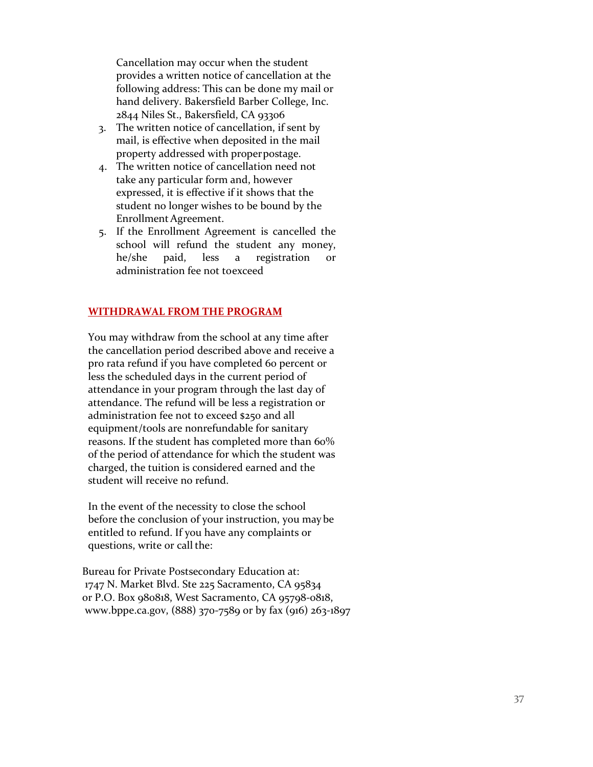Cancellation may occur when the student provides a written notice of cancellation at the following address: This can be done my mail or hand delivery. Bakersfield Barber College, Inc. 2844 Niles St., Bakersfield, CA 93306

- 3. The written notice of cancellation, if sent by mail, is effective when deposited in the mail property addressed with properpostage.
- 4. The written notice of cancellation need not take any particular form and, however expressed, it is effective if it shows that the student no longer wishes to be bound by the Enrollment Agreement.
- 5. If the Enrollment Agreement is cancelled the school will refund the student any money, he/she paid, less a registration or administration fee not toexceed

### **WITHDRAWAL FROM THE PROGRAM**

You may withdraw from the school at any time after the cancellation period described above and receive a pro rata refund if you have completed 60 percent or less the scheduled days in the current period of attendance in your program through the last day of attendance. The refund will be less a registration or administration fee not to exceed \$250 and all equipment/tools are nonrefundable for sanitary reasons. If the student has completed more than 60% of the period of attendance for which the student was charged, the tuition is considered earned and the student will receive no refund.

In the event of the necessity to close the school before the conclusion of your instruction, you may be entitled to refund. If you have any complaints or questions, write or call the:

Bureau for Private Postsecondary Education at: 1747 N. Market Blvd. Ste 225 Sacramento, CA 95834 or P.O. Box 980818, West Sacramento, CA 95798-0818, www.bppe.ca.gov, (888) 370-7589 or by fax (916) 263-1897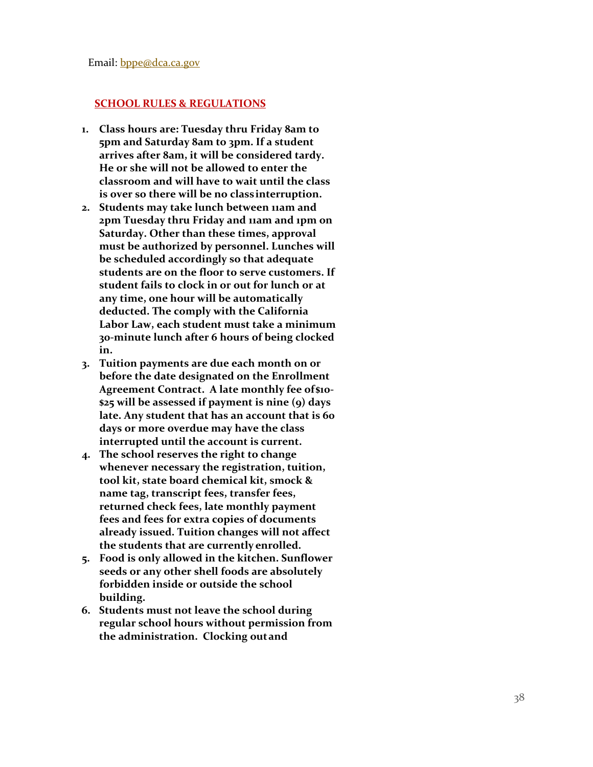#### <span id="page-39-0"></span>**SCHOOL RULES & REGULATIONS**

- **1. Class hours are: Tuesday thru Friday 8am to 5pm and Saturday 8am to 3pm. If a student arrives after 8am, it will be considered tardy. He or she will not be allowed to enter the classroom and will have to wait until the class is over so there will be no classinterruption.**
- **2. Students may take lunch between 11am and 2pm Tuesday thru Friday and 11am and 1pm on Saturday. Other than these times, approval must be authorized by personnel. Lunches will be scheduled accordingly so that adequate students are on the floor to serve customers. If student fails to clock in or out for lunch or at any time, one hour will be automatically deducted. The comply with the California Labor Law, each student must take a minimum 30 -minute lunch after 6 hours of being clocked in.**
- **3. Tuition payments are due each month on or before the date designated on the Enrollment Agreement Contract. A late monthly fee of\$10 - \$25 will be assessed if payment is nine (9) days late. Any student that has an account that is 60 days or more overdue may have the class interrupted until the account is current.**
- **4. The school reserves the right to change whenever necessary the registration, tuition, tool kit, state board chemical kit, smock & name tag, transcript fees, transfer fees, returned check fees, late monthly payment fees and fees for extra copies of documents already issued. Tuition changes will not affect the students that are currently enrolled.**
- **5. Food is only allowed in the kitchen. Sunflower seeds or any other shell foods are absolutely forbidden inside or outside the school building.**
- **6. Students must not leave the school during regular school hours without permission from the administration. Clocking outand**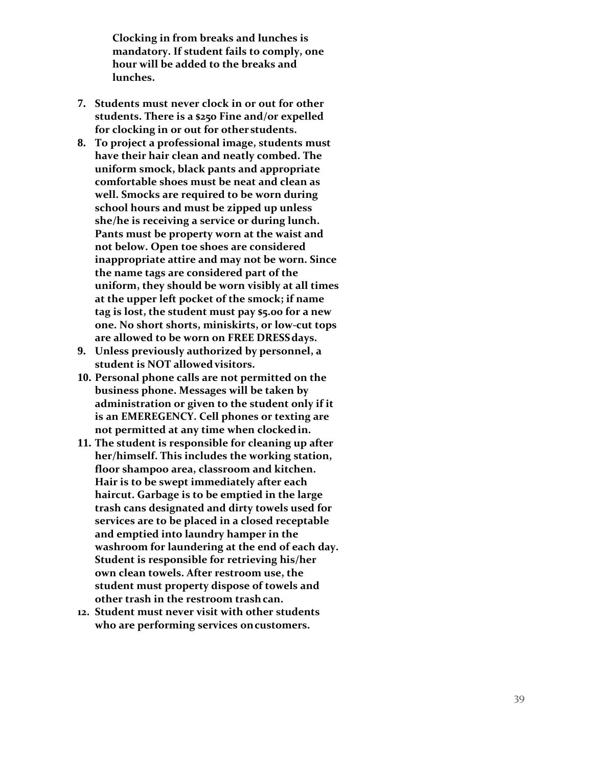**Clocking in from breaks and lunches is mandatory. If student fails to comply, one hour will be added to the breaks and lunches.**

- **7. Students must never clock in or out for other students. There is a \$250 Fine and/or expelled for clocking in or out for other students.**
- **8. To project a professional image, students must have their hair clean and neatly combed. The uniform smock, black pants and appropriate comfortable shoes must be neat and clean as well. Smocks are required to be worn during school hours and must be zipped up unless she/he is receiving a service or during lunch. Pants must be property worn at the waist and not below. Open toe shoes are considered inappropriate attire and may not be worn. Since the name tags are considered part of the uniform, they should be worn visibly at all times at the upper left pocket of the smock; if name tag is lost, the student must pay \$5.00 for a new one. No short shorts, miniskirts, or low -cut tops are allowed to be worn on FREE DRESSdays.**
- **9. Unless previously authorized by personnel, a student is NOT allowedvisitors.**
- **10. Personal phone calls are not permitted on the business phone. Messages will be taken by administration or given to the student only if it is an EMEREGENCY. Cell phones or texting are not permitted at any time when clockedin.**
- **11. The student is responsible for cleaning up after her/himself. This includes the working station, floor shampoo area, classroom and kitchen. Hair is to be swept immediately after each haircut. Garbage is to be emptied in the large trash cans designated and dirty towels used for services are to be placed in a closed receptable and emptied into laundry hamper in the washroom for laundering at the end of each day. Student is responsible for retrieving his/her own clean towels. After restroom use, the student must property dispose of towels and other trash in the restroom trashcan.**
- **12. Student must never visit with other students who are performing services oncustomers.**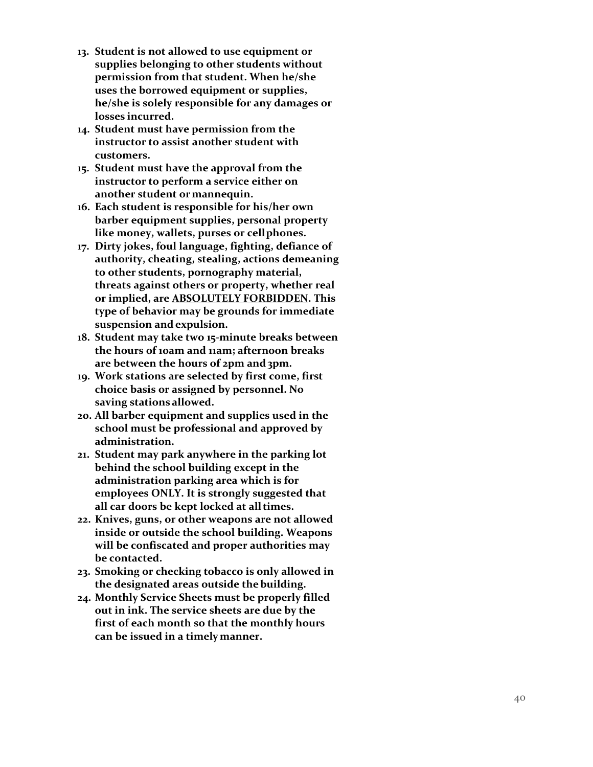- **13. Student is not allowed to use equipment or supplies belonging to other students without permission from that student. When he/she uses the borrowed equipment or supplies, he/she is solely responsible for any damages or losses incurred.**
- **14. Student must have permission from the instructor to assist another student with customers.**
- **15. Student must have the approval from the instructor to perform a service either on another student ormannequin.**
- **16. Each student is responsible for his/her own barber equipment supplies, personal property like money, wallets, purses or cellphones.**
- **17. Dirty jokes, foul language, fighting, defiance of authority, cheating, stealing, actions demeaning to other students, pornography material, threats against others or property, whether real or implied, are ABSOLUTELY FORBIDDEN. This type of behavior may be grounds for immediate suspension andexpulsion.**
- **18. Student may take two 15 -minute breaks between the hours of 10am and 11am; afternoon breaks**  are between the hours of 2pm and 3pm.
- **19. Work stations are selected by first come, first choice basis or assigned by personnel. No saving stations allowed.**
- **20. All barber equipment and supplies used in the school must be professional and approved by administration.**
- **21. Student may park anywhere in the parking lot behind the school building except in the administration parking area which is for employees ONLY. It is strongly suggested that all car doors be kept locked at alltimes.**
- **22. Knives, guns, or other weapons are not allowed inside or outside the school building. Weapons will be confiscated and proper authorities may be contacted.**
- **23. Smoking or checking tobacco is only allowed in the designated areas outside thebuilding.**
- **24. Monthly Service Sheets must be properly filled out in ink. The service sheets are due by the first of each month so that the monthly hours can be issued in a timelymanner.**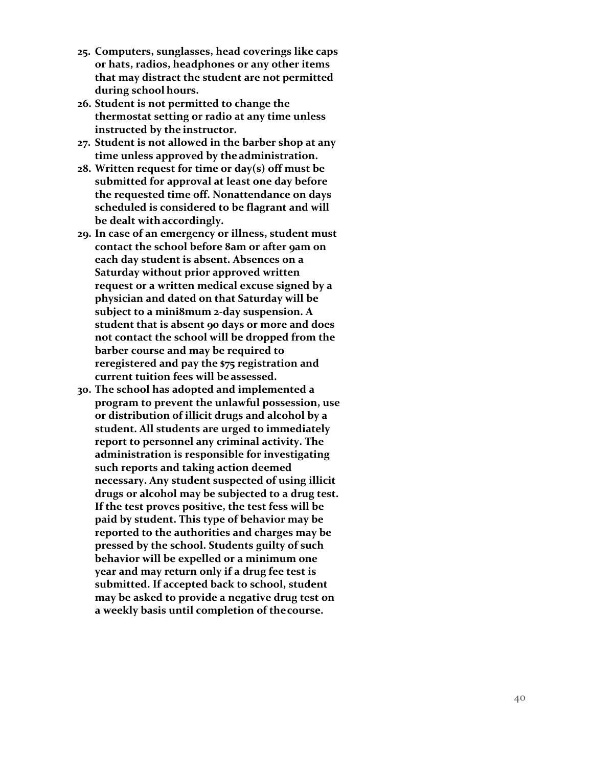- **25. Computers, sunglasses, head coverings like caps or hats, radios, headphones or any other items that may distract the student are not permitted during school hours.**
- **26. Student is not permitted to change the thermostat setting or radio at any time unless instructed by the instructor.**
- **27. Student is not allowed in the barber shop at any time unless approved by theadministration.**
- **28. Written request for time or day(s) off must be submitted for approval at least one day before the requested time off. Nonattendance on days scheduled is considered to be flagrant and will be dealt withaccordingly.**
- **29. In case of an emergency or illness, student must contact the school before 8am or after 9am on each day student is absent. Absences on a Saturday without prior approved written request or a written medical excuse signed by a physician and dated on that Saturday will be subject to a mini8mum 2 -day suspension. A student that is absent 90 days or more and does not contact the school will be dropped from the barber course and may be required to reregistered and pay the \$75 registration and current tuition fees will be assessed.**
- **30. The school has adopted and implemented a program to prevent the unlawful possession, use or distribution of illicit drugs and alcohol by a student. All students are urged to immediately report to personnel any criminal activity. The administration is responsible for investigating such reports and taking action deemed necessary. Any student suspected of using illicit drugs or alcohol may be subjected to a drug test. If the test proves positive, the test fess will be paid by student. This type of behavior may be reported to the authorities and charges may be pressed by the school. Students guilty of such behavior will be expelled or a minimum one year and may return only if a drug fee test is submitted. If accepted back to school, student may be asked to provide a negative drug test on a weekly basis until completion of thecourse.**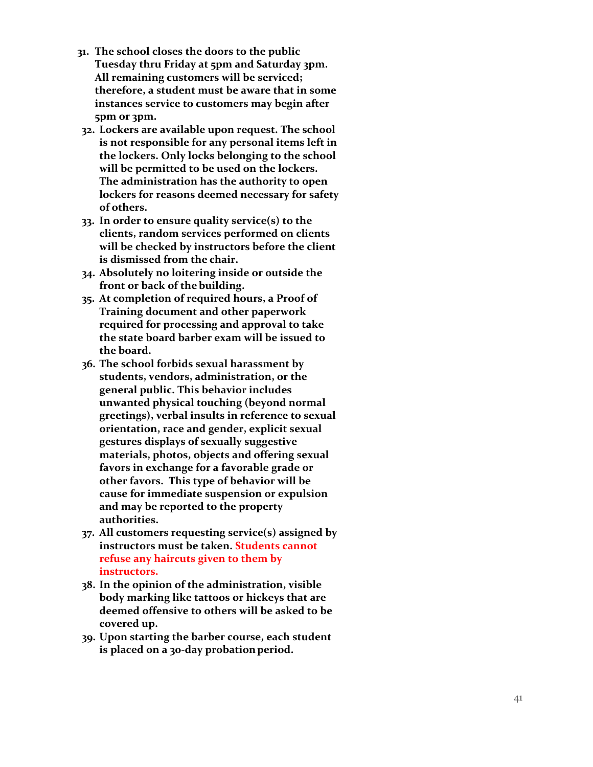- **31. The school closes the doors to the public Tuesday thru Friday at 5pm and Saturday 3pm. All remaining customers will be serviced; therefore, a student must be aware that in some instances service to customers may begin after 5pm or 3pm.**
- **32. Lockers are available upon request. The school is not responsible for any personal items left in the lockers. Only locks belonging to the school will be permitted to be used on the lockers. The administration has the authority to open lockers for reasons deemed necessary for safety of others.**
- **33. In order to ensure quality service(s) to the clients, random services performed on clients will be checked by instructors before the client is dismissed from the chair.**
- **34. Absolutely no loitering inside or outside the front or back of the building.**
- **35. At completion of required hours, a Proof of Training document and other paperwork required for processing and approval to take the state board barber exam will be issued to the board.**
- **36. The school forbids sexual harassment by students, vendors, administration, or the general public. This behavior includes unwanted physical touching (beyond normal greetings), verbal insults in reference to sexual orientation, race and gender, explicit sexual gestures displays of sexually suggestive materials, photos, objects and offering sexual favors in exchange for a favorable grade or other favors. This type of behavior will be cause for immediate suspension or expulsion and may be reported to the property authorities.**
- **37. All customers requesting service(s) assigned by instructors must be taken. Students cannot refuse any haircuts given to them by instructors.**
- **38. In the opinion of the administration, visible body marking like tattoos or hickeys that are deemed offensive to others will be asked to be covered up.**
- **39. Upon starting the barber course, each student is placed on a 30 -day probationperiod.**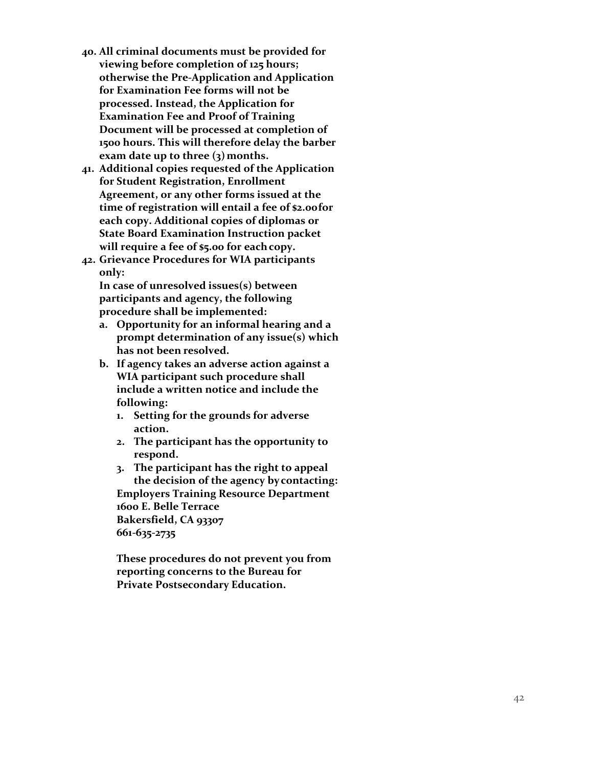- **40. All criminal documents must be provided for viewing before completion of 125 hours; otherwise the Pre -Application and Application for Examination Fee forms will not be processed. Instead, the Application for Examination Fee and Proof of Training Document will be processed at completion of 1500 hours. This will therefore delay the barber exam date up to three (3)months.**
- **41. Additional copies requested of the Application for Student Registration, Enrollment Agreement, or any other forms issued at the time of registration will entail a fee of \$2.00for each copy. Additional copies of diplomas or State Board Examination Instruction packet will require a fee of \$5.00 for eachcopy.**
- **42. Grievance Procedures for WIA participants only:**

**In case of unresolved issues(s) between participants and agency, the following procedure shall be implemented:**

- **a. Opportunity for an informal hearing and a prompt determination of any issue(s) which has not been resolved.**
- **b. If agency takes an adverse action against a WIA participant such procedure shall include a written notice and include the following:**
	- **1. Setting for the grounds for adverse action.**
	- **2. The participant has the opportunity to respond.**

**3. The participant has the right to appeal the decision of the agency bycontacting: Employers Training Resource Department 1600 E. Belle Terrace Bakersfield, CA 93307 661 -635 -2735**

**These procedures do not prevent you from reporting concerns to the Bureau for Private Postsecondary Education.**